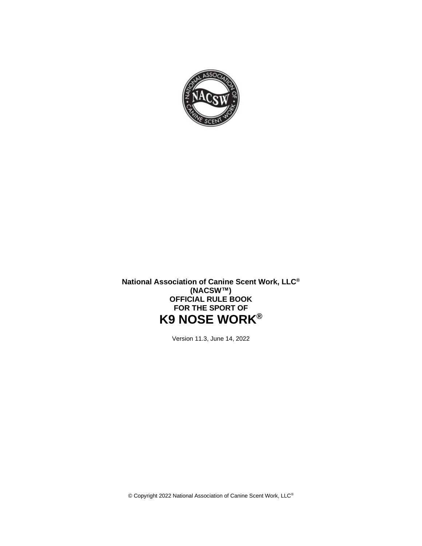

**National Association of Canine Scent Work, LLC® (NACSW™) OFFICIAL RULE BOOK FOR THE SPORT OF K9 NOSE WORK®**

Version 11.3, June 14, 2022

© Copyright 2022 National Association of Canine Scent Work, LLC®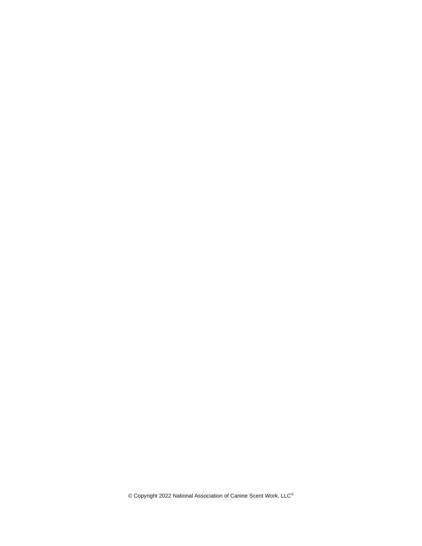© Copyright 2022 National Association of Canine Scent Work, LLC®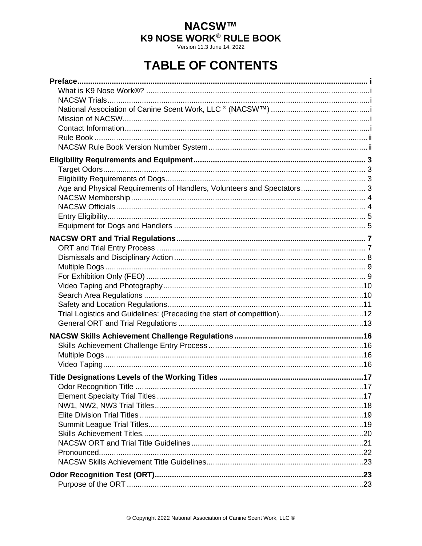Version 11.3 June 14, 2022

# **TABLE OF CONTENTS**

| Age and Physical Requirements of Handlers, Volunteers and Spectators 3 |  |
|------------------------------------------------------------------------|--|
|                                                                        |  |
|                                                                        |  |
|                                                                        |  |
|                                                                        |  |
|                                                                        |  |
|                                                                        |  |
|                                                                        |  |
|                                                                        |  |
|                                                                        |  |
|                                                                        |  |
|                                                                        |  |
|                                                                        |  |
|                                                                        |  |
|                                                                        |  |
|                                                                        |  |
|                                                                        |  |
|                                                                        |  |
|                                                                        |  |
|                                                                        |  |
|                                                                        |  |
|                                                                        |  |
|                                                                        |  |
|                                                                        |  |
|                                                                        |  |
|                                                                        |  |
|                                                                        |  |
|                                                                        |  |
|                                                                        |  |
|                                                                        |  |
|                                                                        |  |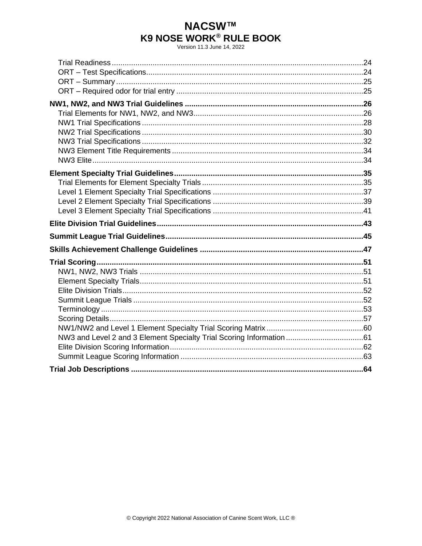Version 11.3 June 14, 2022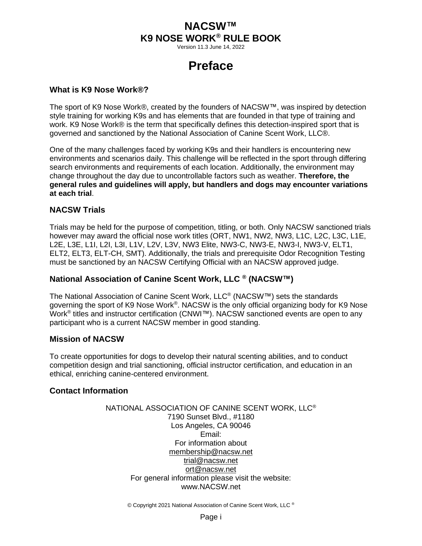Version 11.3 June 14, 2022

# **Preface**

#### <span id="page-4-1"></span><span id="page-4-0"></span>**What is K9 Nose Work®?**

The sport of K9 Nose Work®, created by the founders of NACSW™, was inspired by detection style training for working K9s and has elements that are founded in that type of training and work. K9 Nose Work® is the term that specifically defines this detection-inspired sport that is governed and sanctioned by the National Association of Canine Scent Work, LLC®.

One of the many challenges faced by working K9s and their handlers is encountering new environments and scenarios daily. This challenge will be reflected in the sport through differing search environments and requirements of each location. Additionally, the environment may change throughout the day due to uncontrollable factors such as weather. **Therefore, the general rules and guidelines will apply, but handlers and dogs may encounter variations at each trial**.

### <span id="page-4-2"></span>**NACSW Trials**

Trials may be held for the purpose of competition, titling, or both. Only NACSW sanctioned trials however may award the official nose work titles (ORT, NW1, NW2, NW3, L1C, L2C, L3C, L1E, L2E, L3E, L1I, L2I, L3I, L1V, L2V, L3V, NW3 Elite, NW3-C, NW3-E, NW3-I, NW3-V, ELT1, ELT2, ELT3, ELT-CH, SMT). Additionally, the trials and prerequisite Odor Recognition Testing must be sanctioned by an NACSW Certifying Official with an NACSW approved judge.

## <span id="page-4-3"></span>**National Association of Canine Scent Work, LLC ® (NACSW™)**

The National Association of Canine Scent Work, LLC<sup>®</sup> (NACSW™) sets the standards governing the sport of K9 Nose Work®. NACSW is the only official organizing body for K9 Nose Work<sup>®</sup> titles and instructor certification (CNWI™). NACSW sanctioned events are open to any participant who is a current NACSW member in good standing.

### <span id="page-4-4"></span>**Mission of NACSW**

To create opportunities for dogs to develop their natural scenting abilities, and to conduct competition design and trial sanctioning, official instructor certification, and education in an ethical, enriching canine-centered environment.

### <span id="page-4-5"></span>**Contact Information**

NATIONAL ASSOCIATION OF CANINE SCENT WORK, LLC® 7190 Sunset Blvd., #1180 Los Angeles, CA 90046 Email: For information about [membership@nacsw.net](mailto:membership@nacsw.net) [trial@nacsw.net](mailto:trial@nacsw.net) [ort@nacsw.net](mailto:ort@nacsw.net) For general information please visit the website: [www.NACSW.net](http://www.ncswa.net/)

© Copyright 2021 National Association of Canine Scent Work, LLC ®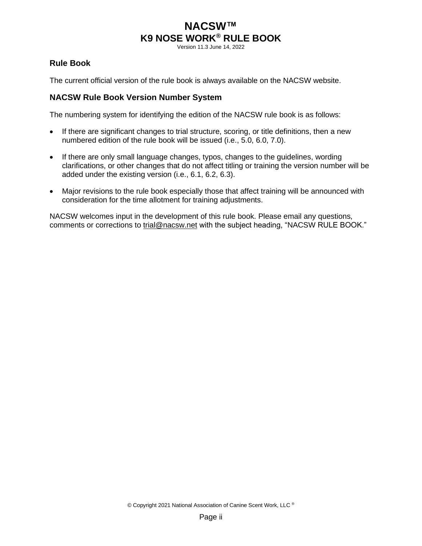Version 11.3 June 14, 2022

### <span id="page-5-0"></span>**Rule Book**

The current official version of the rule book is always available on the NACSW website.

### <span id="page-5-1"></span>**NACSW Rule Book Version Number System**

The numbering system for identifying the edition of the NACSW rule book is as follows:

- If there are significant changes to trial structure, scoring, or title definitions, then a new numbered edition of the rule book will be issued (i.e., 5.0, 6.0, 7.0).
- If there are only small language changes, typos, changes to the guidelines, wording clarifications, or other changes that do not affect titling or training the version number will be added under the existing version (i.e., 6.1, 6.2, 6.3).
- Major revisions to the rule book especially those that affect training will be announced with consideration for the time allotment for training adjustments.

NACSW welcomes input in the development of this rule book. Please email any questions, comments or corrections to [trial@nacsw.net](mailto:trial@nacsw.net) with the subject heading, "NACSW RULE BOOK."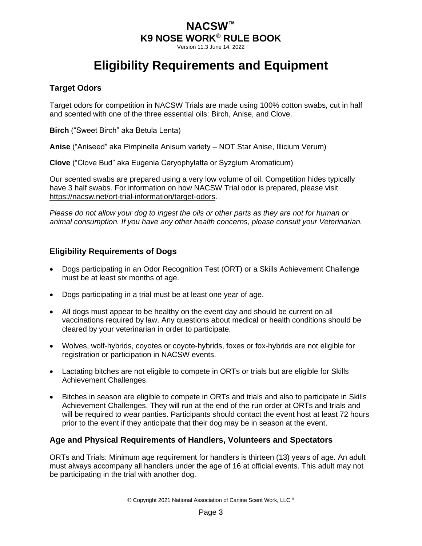Version 11.3 June 14, 2022

# **Eligibility Requirements and Equipment**

## <span id="page-6-1"></span><span id="page-6-0"></span>**Target Odors**

Target odors for competition in NACSW Trials are made using 100% cotton swabs, cut in half and scented with one of the three essential oils: Birch, Anise, and Clove.

**Birch** ("Sweet Birch" aka Betula Lenta)

**Anise** ("Aniseed" aka Pimpinella Anisum variety – NOT Star Anise, Illicium Verum)

**Clove** ("Clove Bud" aka Eugenia Caryophylatta or Syzgium Aromaticum)

Our scented swabs are prepared using a very low volume of oil. Competition hides typically have 3 half swabs. For information on how NACSW Trial odor is prepared, please visit [https://nacsw.net/ort-trial-information/target-odors.](https://nacsw.net/ort-trial-information/target-odors)

*Please do not allow your dog to ingest the oils or other parts as they are not for human or animal consumption. If you have any other health concerns, please consult your Veterinarian.*

## <span id="page-6-2"></span>**Eligibility Requirements of Dogs**

- Dogs participating in an Odor Recognition Test (ORT) or a Skills Achievement Challenge must be at least six months of age.
- Dogs participating in a trial must be at least one year of age.
- All dogs must appear to be healthy on the event day and should be current on all vaccinations required by law. Any questions about medical or health conditions should be cleared by your veterinarian in order to participate.
- Wolves, wolf-hybrids, coyotes or coyote-hybrids, foxes or fox-hybrids are not eligible for registration or participation in NACSW events.
- Lactating bitches are not eligible to compete in ORTs or trials but are eligible for Skills Achievement Challenges.
- Bitches in season are eligible to compete in ORTs and trials and also to participate in Skills Achievement Challenges. They will run at the end of the run order at ORTs and trials and will be required to wear panties. Participants should contact the event host at least 72 hours prior to the event if they anticipate that their dog may be in season at the event.

## <span id="page-6-3"></span>**Age and Physical Requirements of Handlers, Volunteers and Spectators**

ORTs and Trials: Minimum age requirement for handlers is thirteen (13) years of age. An adult must always accompany all handlers under the age of 16 at official events. This adult may not be participating in the trial with another dog.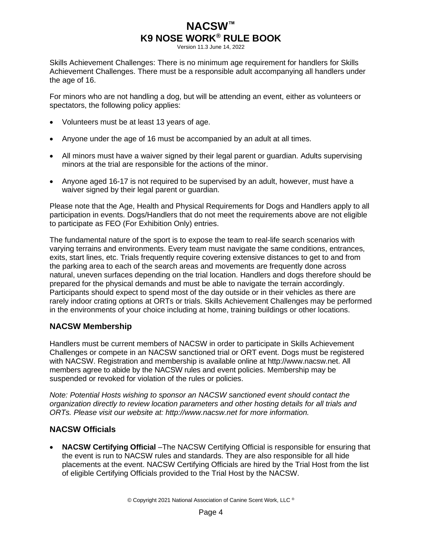Version 11.3 June 14, 2022

Skills Achievement Challenges: There is no minimum age requirement for handlers for Skills Achievement Challenges. There must be a responsible adult accompanying all handlers under the age of 16.

For minors who are not handling a dog, but will be attending an event, either as volunteers or spectators, the following policy applies:

- Volunteers must be at least 13 years of age.
- Anyone under the age of 16 must be accompanied by an adult at all times.
- All minors must have a waiver signed by their legal parent or guardian. Adults supervising minors at the trial are responsible for the actions of the minor.
- Anyone aged 16-17 is not required to be supervised by an adult, however, must have a waiver signed by their legal parent or guardian.

Please note that the Age, Health and Physical Requirements for Dogs and Handlers apply to all participation in events. Dogs/Handlers that do not meet the requirements above are not eligible to participate as FEO (For Exhibition Only) entries.

The fundamental nature of the sport is to expose the team to real-life search scenarios with varying terrains and environments. Every team must navigate the same conditions, entrances, exits, start lines, etc. Trials frequently require covering extensive distances to get to and from the parking area to each of the search areas and movements are frequently done across natural, uneven surfaces depending on the trial location. Handlers and dogs therefore should be prepared for the physical demands and must be able to navigate the terrain accordingly. Participants should expect to spend most of the day outside or in their vehicles as there are rarely indoor crating options at ORTs or trials. Skills Achievement Challenges may be performed in the environments of your choice including at home, training buildings or other locations.

### <span id="page-7-0"></span>**NACSW Membership**

Handlers must be current members of NACSW in order to participate in Skills Achievement Challenges or compete in an NACSW sanctioned trial or ORT event. Dogs must be registered with NACSW. Registration and membership is available online at [http://www.nacsw.net.](http://www.nacsw.net/) All members agree to abide by the NACSW rules and event policies. Membership may be suspended or revoked for violation of the rules or policies.

*Note: Potential Hosts wishing to sponsor an NACSW sanctioned event should contact the organization directly to review location parameters and other hosting details for all trials and ORTs. Please visit our website at: [http://www.nacsw.net](http://www.nacsw.net/) for more information.*

## <span id="page-7-1"></span>**NACSW Officials**

• **NACSW Certifying Official** –The NACSW Certifying Official is responsible for ensuring that the event is run to NACSW rules and standards. They are also responsible for all hide placements at the event. NACSW Certifying Officials are hired by the Trial Host from the list of eligible Certifying Officials provided to the Trial Host by the NACSW.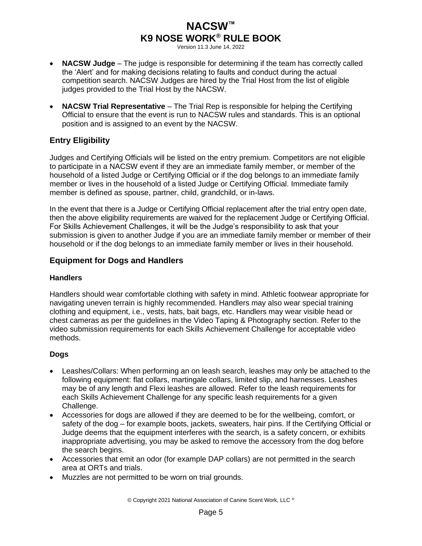Version 11.3 June 14, 2022

- **NACSW Judge** The judge is responsible for determining if the team has correctly called the 'Alert' and for making decisions relating to faults and conduct during the actual competition search. NACSW Judges are hired by the Trial Host from the list of eligible judges provided to the Trial Host by the NACSW.
- **NACSW Trial Representative** The Trial Rep is responsible for helping the Certifying Official to ensure that the event is run to NACSW rules and standards. This is an optional position and is assigned to an event by the NACSW.

## <span id="page-8-0"></span>**Entry Eligibility**

Judges and Certifying Officials will be listed on the entry premium. Competitors are not eligible to participate in a NACSW event if they are an immediate family member, or member of the household of a listed Judge or Certifying Official or if the dog belongs to an immediate family member or lives in the household of a listed Judge or Certifying Official. Immediate family member is defined as spouse, partner, child, grandchild, or in-laws.

In the event that there is a Judge or Certifying Official replacement after the trial entry open date, then the above eligibility requirements are waived for the replacement Judge or Certifying Official. For Skills Achievement Challenges, it will be the Judge's responsibility to ask that your submission is given to another Judge if you are an immediate family member or member of their household or if the dog belongs to an immediate family member or lives in their household.

## <span id="page-8-1"></span>**Equipment for Dogs and Handlers**

### **Handlers**

Handlers should wear comfortable clothing with safety in mind. Athletic footwear appropriate for navigating uneven terrain is highly recommended. Handlers may also wear special training clothing and equipment, i.e., vests, hats, bait bags, etc. Handlers may wear visible head or chest cameras as per the guidelines in the Video Taping & Photography section. Refer to the video submission requirements for each Skills Achievement Challenge for acceptable video methods.

## **Dogs**

- Leashes/Collars: When performing an on leash search, leashes may only be attached to the following equipment: flat collars, martingale collars, limited slip, and harnesses. Leashes may be of any length and Flexi leashes are allowed. Refer to the leash requirements for each Skills Achievement Challenge for any specific leash requirements for a given Challenge.
- Accessories for dogs are allowed if they are deemed to be for the wellbeing, comfort, or safety of the dog – for example boots, jackets, sweaters, hair pins. If the Certifying Official or Judge deems that the equipment interferes with the search, is a safety concern, or exhibits inappropriate advertising, you may be asked to remove the accessory from the dog before the search begins.
- Accessories that emit an odor (for example DAP collars) are not permitted in the search area at ORTs and trials.
- Muzzles are not permitted to be worn on trial grounds.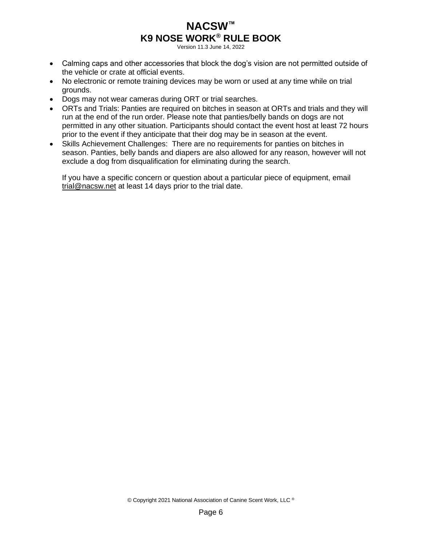Version 11.3 June 14, 2022

- Calming caps and other accessories that block the dog's vision are not permitted outside of the vehicle or crate at official events.
- No electronic or remote training devices may be worn or used at any time while on trial grounds.
- Dogs may not wear cameras during ORT or trial searches.
- ORTs and Trials: Panties are required on bitches in season at ORTs and trials and they will run at the end of the run order. Please note that panties/belly bands on dogs are not permitted in any other situation. Participants should contact the event host at least 72 hours prior to the event if they anticipate that their dog may be in season at the event.
- Skills Achievement Challenges: There are no requirements for panties on bitches in season. Panties, belly bands and diapers are also allowed for any reason, however will not exclude a dog from disqualification for eliminating during the search.

If you have a specific concern or question about a particular piece of equipment, email [trial@nacsw.net](mailto:trial@nacsw.net) at least 14 days prior to the trial date.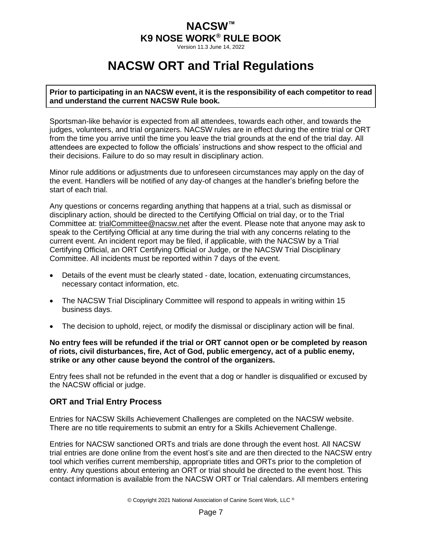Version 11.3 June 14, 2022

# **NACSW ORT and Trial Regulations**

<span id="page-10-0"></span>**Prior to participating in an NACSW event, it is the responsibility of each competitor to read and understand the current NACSW Rule book.**

Sportsman-like behavior is expected from all attendees, towards each other, and towards the judges, volunteers, and trial organizers. NACSW rules are in effect during the entire trial or ORT from the time you arrive until the time you leave the trial grounds at the end of the trial day. All attendees are expected to follow the officials' instructions and show respect to the official and their decisions. Failure to do so may result in disciplinary action.

Minor rule additions or adjustments due to unforeseen circumstances may apply on the day of the event. Handlers will be notified of any day-of changes at the handler's briefing before the start of each trial.

Any questions or concerns regarding anything that happens at a trial, such as dismissal or disciplinary action, should be directed to the Certifying Official on trial day, or to the Trial Committee at: [trialCommittee@nacsw.net](mailto:trialCommittee@nacsw.net) after the event. Please note that anyone may ask to speak to the Certifying Official at any time during the trial with any concerns relating to the current event. An incident report may be filed, if applicable, with the NACSW by a Trial Certifying Official, an ORT Certifying Official or Judge, or the NACSW Trial Disciplinary Committee. All incidents must be reported within 7 days of the event.

- Details of the event must be clearly stated date, location, extenuating circumstances, necessary contact information, etc.
- The NACSW Trial Disciplinary Committee will respond to appeals in writing within 15 business days.
- The decision to uphold, reject, or modify the dismissal or disciplinary action will be final.

**No entry fees will be refunded if the trial or ORT cannot open or be completed by reason of riots, civil disturbances, fire, Act of God, public emergency, act of a public enemy, strike or any other cause beyond the control of the organizers.**

Entry fees shall not be refunded in the event that a dog or handler is disqualified or excused by the NACSW official or judge.

## <span id="page-10-1"></span>**ORT and Trial Entry Process**

Entries for NACSW Skills Achievement Challenges are completed on the NACSW website. There are no title requirements to submit an entry for a Skills Achievement Challenge.

Entries for NACSW sanctioned ORTs and trials are done through the event host. All NACSW trial entries are done online from the event host's site and are then directed to the NACSW entry tool which verifies current membership, appropriate titles and ORTs prior to the completion of entry. Any questions about entering an ORT or trial should be directed to the event host. This contact information is available from the NACSW ORT or Trial calendars. All members entering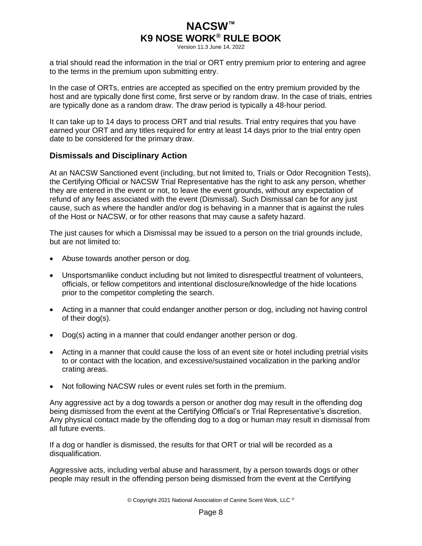Version 11.3 June 14, 2022

a trial should read the information in the trial or ORT entry premium prior to entering and agree to the terms in the premium upon submitting entry.

In the case of ORTs, entries are accepted as specified on the entry premium provided by the host and are typically done first come, first serve or by random draw. In the case of trials, entries are typically done as a random draw. The draw period is typically a 48-hour period.

It can take up to 14 days to process ORT and trial results. Trial entry requires that you have earned your ORT and any titles required for entry at least 14 days prior to the trial entry open date to be considered for the primary draw.

### <span id="page-11-0"></span>**Dismissals and Disciplinary Action**

At an NACSW Sanctioned event (including, but not limited to, Trials or Odor Recognition Tests), the Certifying Official or NACSW Trial Representative has the right to ask any person, whether they are entered in the event or not, to leave the event grounds, without any expectation of refund of any fees associated with the event (Dismissal). Such Dismissal can be for any just cause, such as where the handler and/or dog is behaving in a manner that is against the rules of the Host or NACSW, or for other reasons that may cause a safety hazard.

The just causes for which a Dismissal may be issued to a person on the trial grounds include, but are not limited to:

- Abuse towards another person or dog.
- Unsportsmanlike conduct including but not limited to disrespectful treatment of volunteers, officials, or fellow competitors and intentional disclosure/knowledge of the hide locations prior to the competitor completing the search.
- Acting in a manner that could endanger another person or dog, including not having control of their dog(s).
- Dog(s) acting in a manner that could endanger another person or dog.
- Acting in a manner that could cause the loss of an event site or hotel including pretrial visits to or contact with the location, and excessive/sustained vocalization in the parking and/or crating areas.
- Not following NACSW rules or event rules set forth in the premium.

Any aggressive act by a dog towards a person or another dog may result in the offending dog being dismissed from the event at the Certifying Official's or Trial Representative's discretion. Any physical contact made by the offending dog to a dog or human may result in dismissal from all future events.

If a dog or handler is dismissed, the results for that ORT or trial will be recorded as a disqualification.

Aggressive acts, including verbal abuse and harassment, by a person towards dogs or other people may result in the offending person being dismissed from the event at the Certifying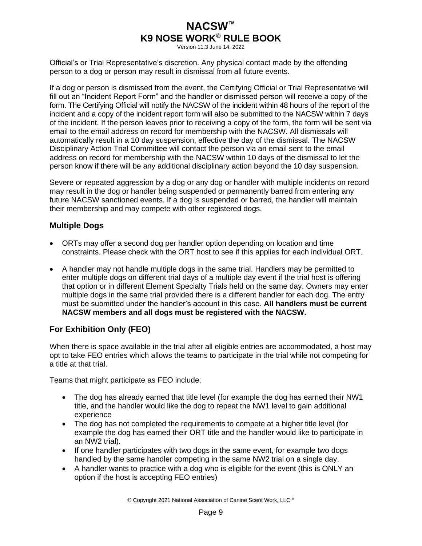Version 11.3 June 14, 2022

Official's or Trial Representative's discretion. Any physical contact made by the offending person to a dog or person may result in dismissal from all future events.

If a dog or person is dismissed from the event, the Certifying Official or Trial Representative will fill out an "Incident Report Form" and the handler or dismissed person will receive a copy of the form. The Certifying Official will notify the NACSW of the incident within 48 hours of the report of the incident and a copy of the incident report form will also be submitted to the NACSW within 7 days of the incident. If the person leaves prior to receiving a copy of the form, the form will be sent via email to the email address on record for membership with the NACSW. All dismissals will automatically result in a 10 day suspension, effective the day of the dismissal. The NACSW Disciplinary Action Trial Committee will contact the person via an email sent to the email address on record for membership with the NACSW within 10 days of the dismissal to let the person know if there will be any additional disciplinary action beyond the 10 day suspension.

Severe or repeated aggression by a dog or any dog or handler with multiple incidents on record may result in the dog or handler being suspended or permanently barred from entering any future NACSW sanctioned events. If a dog is suspended or barred, the handler will maintain their membership and may compete with other registered dogs.

### <span id="page-12-0"></span>**Multiple Dogs**

- ORTs may offer a second dog per handler option depending on location and time constraints. Please check with the ORT host to see if this applies for each individual ORT.
- A handler may not handle multiple dogs in the same trial. Handlers may be permitted to enter multiple dogs on different trial days of a multiple day event if the trial host is offering that option or in different Element Specialty Trials held on the same day. Owners may enter multiple dogs in the same trial provided there is a different handler for each dog. The entry must be submitted under the handler's account in this case. **All handlers must be current NACSW members and all dogs must be registered with the NACSW.**

## <span id="page-12-1"></span>**For Exhibition Only (FEO)**

When there is space available in the trial after all eligible entries are accommodated, a host may opt to take FEO entries which allows the teams to participate in the trial while not competing for a title at that trial.

Teams that might participate as FEO include:

- The dog has already earned that title level (for example the dog has earned their NW1 title, and the handler would like the dog to repeat the NW1 level to gain additional experience
- The dog has not completed the requirements to compete at a higher title level (for example the dog has earned their ORT title and the handler would like to participate in an NW2 trial).
- If one handler participates with two dogs in the same event, for example two dogs handled by the same handler competing in the same NW2 trial on a single day.
- A handler wants to practice with a dog who is eligible for the event (this is ONLY an option if the host is accepting FEO entries)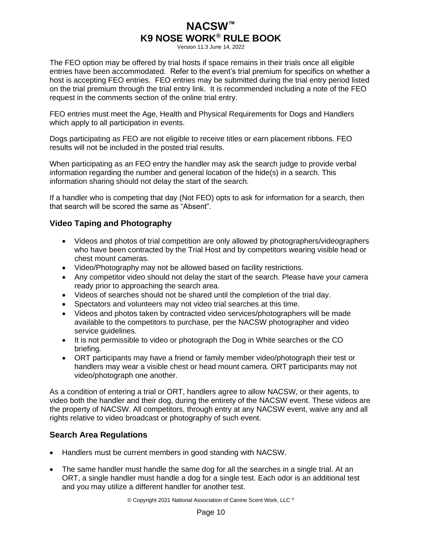Version 11.3 June 14, 2022

The FEO option may be offered by trial hosts if space remains in their trials once all eligible entries have been accommodated. Refer to the event's trial premium for specifics on whether a host is accepting FEO entries. FEO entries may be submitted during the trial entry period listed on the trial premium through the trial entry link. It is recommended including a note of the FEO request in the comments section of the online trial entry.

FEO entries must meet the Age, Health and Physical Requirements for Dogs and Handlers which apply to all participation in events.

Dogs participating as FEO are not eligible to receive titles or earn placement ribbons. FEO results will not be included in the posted trial results.

When participating as an FEO entry the handler may ask the search judge to provide verbal information regarding the number and general location of the hide(s) in a search. This information sharing should not delay the start of the search.

If a handler who is competing that day (Not FEO) opts to ask for information for a search, then that search will be scored the same as "Absent".

## <span id="page-13-0"></span>**Video Taping and Photography**

- Videos and photos of trial competition are only allowed by photographers/videographers who have been contracted by the Trial Host and by competitors wearing visible head or chest mount cameras.
- Video/Photography may not be allowed based on facility restrictions.
- Any competitor video should not delay the start of the search. Please have your camera ready prior to approaching the search area.
- Videos of searches should not be shared until the completion of the trial day.
- Spectators and volunteers may not video trial searches at this time.
- Videos and photos taken by contracted video services/photographers will be made available to the competitors to purchase, per the NACSW photographer and video service quidelines.
- It is not permissible to video or photograph the Dog in White searches or the CO briefing.
- ORT participants may have a friend or family member video/photograph their test or handlers may wear a visible chest or head mount camera. ORT participants may not video/photograph one another.

As a condition of entering a trial or ORT, handlers agree to allow NACSW, or their agents, to video both the handler and their dog, during the entirety of the NACSW event. These videos are the property of NACSW. All competitors, through entry at any NACSW event, waive any and all rights relative to video broadcast or photography of such event.

## <span id="page-13-1"></span>**Search Area Regulations**

- Handlers must be current members in good standing with NACSW.
- The same handler must handle the same dog for all the searches in a single trial. At an ORT, a single handler must handle a dog for a single test. Each odor is an additional test and you may utilize a different handler for another test.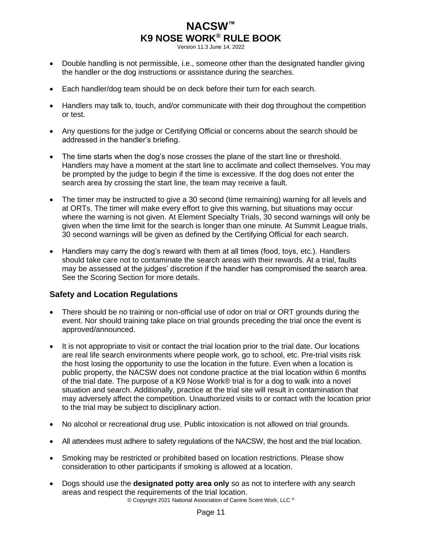Version 11.3 June 14, 2022

- Double handling is not permissible, i.e., someone other than the designated handler giving the handler or the dog instructions or assistance during the searches.
- Each handler/dog team should be on deck before their turn for each search.
- Handlers may talk to, touch, and/or communicate with their dog throughout the competition or test.
- Any questions for the judge or Certifying Official or concerns about the search should be addressed in the handler's briefing.
- The time starts when the dog's nose crosses the plane of the start line or threshold. Handlers may have a moment at the start line to acclimate and collect themselves. You may be prompted by the judge to begin if the time is excessive. If the dog does not enter the search area by crossing the start line, the team may receive a fault.
- The timer may be instructed to give a 30 second (time remaining) warning for all levels and at ORTs. The timer will make every effort to give this warning, but situations may occur where the warning is not given. At Element Specialty Trials, 30 second warnings will only be given when the time limit for the search is longer than one minute. At Summit League trials, 30 second warnings will be given as defined by the Certifying Official for each search.
- Handlers may carry the dog's reward with them at all times (food, toys, etc.). Handlers should take care not to contaminate the search areas with their rewards. At a trial, faults may be assessed at the judges' discretion if the handler has compromised the search area. See the Scoring Section for more details.

## <span id="page-14-0"></span>**Safety and Location Regulations**

- There should be no training or non-official use of odor on trial or ORT grounds during the event. Nor should training take place on trial grounds preceding the trial once the event is approved/announced.
- It is not appropriate to visit or contact the trial location prior to the trial date. Our locations are real life search environments where people work, go to school, etc. Pre-trial visits risk the host losing the opportunity to use the location in the future. Even when a location is public property, the NACSW does not condone practice at the trial location within 6 months of the trial date. The purpose of a K9 Nose Work® trial is for a dog to walk into a novel situation and search. Additionally, practice at the trial site will result in contamination that may adversely affect the competition. Unauthorized visits to or contact with the location prior to the trial may be subject to disciplinary action.
- No alcohol or recreational drug use. Public intoxication is not allowed on trial grounds.
- All attendees must adhere to safety regulations of the NACSW, the host and the trial location.
- Smoking may be restricted or prohibited based on location restrictions. Please show consideration to other participants if smoking is allowed at a location.
- Dogs should use the **designated potty area only** so as not to interfere with any search areas and respect the requirements of the trial location.

© Copyright 2021 National Association of Canine Scent Work, LLC ®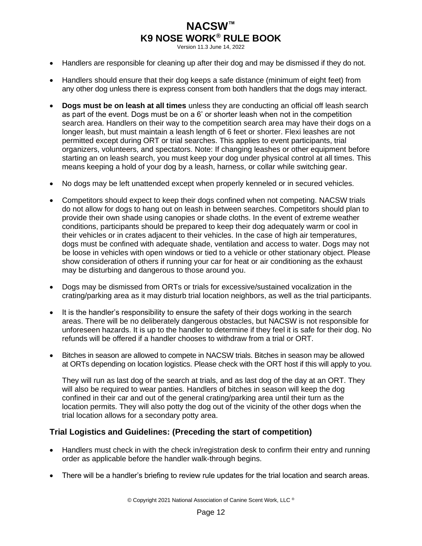Version 11.3 June 14, 2022

- Handlers are responsible for cleaning up after their dog and may be dismissed if they do not.
- Handlers should ensure that their dog keeps a safe distance (minimum of eight feet) from any other dog unless there is express consent from both handlers that the dogs may interact.
- **Dogs must be on leash at all times** unless they are conducting an official off leash search as part of the event. Dogs must be on a 6' or shorter leash when not in the competition search area. Handlers on their way to the competition search area may have their dogs on a longer leash, but must maintain a leash length of 6 feet or shorter. Flexi leashes are not permitted except during ORT or trial searches. This applies to event participants, trial organizers, volunteers, and spectators. Note: If changing leashes or other equipment before starting an on leash search, you must keep your dog under physical control at all times. This means keeping a hold of your dog by a leash, harness, or collar while switching gear.
- No dogs may be left unattended except when properly kenneled or in secured vehicles.
- Competitors should expect to keep their dogs confined when not competing. NACSW trials do not allow for dogs to hang out on leash in between searches. Competitors should plan to provide their own shade using canopies or shade cloths. In the event of extreme weather conditions, participants should be prepared to keep their dog adequately warm or cool in their vehicles or in crates adjacent to their vehicles. In the case of high air temperatures, dogs must be confined with adequate shade, ventilation and access to water. Dogs may not be loose in vehicles with open windows or tied to a vehicle or other stationary object. Please show consideration of others if running your car for heat or air conditioning as the exhaust may be disturbing and dangerous to those around you.
- Dogs may be dismissed from ORTs or trials for excessive/sustained vocalization in the crating/parking area as it may disturb trial location neighbors, as well as the trial participants.
- It is the handler's responsibility to ensure the safety of their dogs working in the search areas. There will be no deliberately dangerous obstacles, but NACSW is not responsible for unforeseen hazards. It is up to the handler to determine if they feel it is safe for their dog. No refunds will be offered if a handler chooses to withdraw from a trial or ORT.
- Bitches in season are allowed to compete in NACSW trials. Bitches in season may be allowed at ORTs depending on location logistics. Please check with the ORT host if this will apply to you.

They will run as last dog of the search at trials, and as last dog of the day at an ORT. They will also be required to wear panties. Handlers of bitches in season will keep the dog confined in their car and out of the general crating/parking area until their turn as the location permits. They will also potty the dog out of the vicinity of the other dogs when the trial location allows for a secondary potty area.

### <span id="page-15-0"></span>**Trial Logistics and Guidelines: (Preceding the start of competition)**

- Handlers must check in with the check in/registration desk to confirm their entry and running order as applicable before the handler walk-through begins.
- There will be a handler's briefing to review rule updates for the trial location and search areas.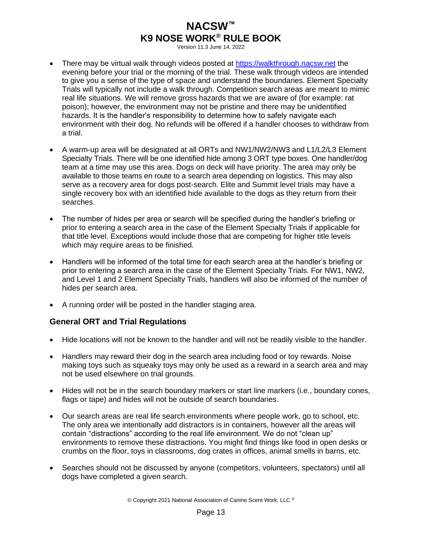Version 11.3 June 14, 2022

- There may be virtual walk through videos posted at [https://walkthrough.nacsw.net](https://walkthrough.nacsw.net/) the evening before your trial or the morning of the trial. These walk through videos are intended to give you a sense of the type of space and understand the boundaries. Element Specialty Trials will typically not include a walk through. Competition search areas are meant to mimic real life situations. We will remove gross hazards that we are aware of (for example: rat poison); however, the environment may not be pristine and there may be unidentified hazards. It is the handler's responsibility to determine how to safely navigate each environment with their dog. No refunds will be offered if a handler chooses to withdraw from a trial.
- A warm-up area will be designated at all ORTs and NW1/NW2/NW3 and L1/L2/L3 Element Specialty Trials. There will be one identified hide among 3 ORT type boxes. One handler/dog team at a time may use this area. Dogs on deck will have priority. The area may only be available to those teams en route to a search area depending on logistics. This may also serve as a recovery area for dogs post-search. Elite and Summit level trials may have a single recovery box with an identified hide available to the dogs as they return from their searches.
- The number of hides per area or search will be specified during the handler's briefing or prior to entering a search area in the case of the Element Specialty Trials if applicable for that title level. Exceptions would include those that are competing for higher title levels which may require areas to be finished.
- Handlers will be informed of the total time for each search area at the handler's briefing or prior to entering a search area in the case of the Element Specialty Trials. For NW1, NW2, and Level 1 and 2 Element Specialty Trials, handlers will also be informed of the number of hides per search area.
- A running order will be posted in the handler staging area.

## <span id="page-16-0"></span>**General ORT and Trial Regulations**

- Hide locations will not be known to the handler and will not be readily visible to the handler.
- Handlers may reward their dog in the search area including food or toy rewards. Noise making toys such as squeaky toys may only be used as a reward in a search area and may not be used elsewhere on trial grounds.
- Hides will not be in the search boundary markers or start line markers (i.e., boundary cones, flags or tape) and hides will not be outside of search boundaries.
- Our search areas are real life search environments where people work, go to school, etc. The only area we intentionally add distractors is in containers, however all the areas will contain "distractions" according to the real life environment. We do not "clean up" environments to remove these distractions. You might find things like food in open desks or crumbs on the floor, toys in classrooms, dog crates in offices, animal smells in barns, etc.
- Searches should not be discussed by anyone (competitors, volunteers, spectators) until all dogs have completed a given search.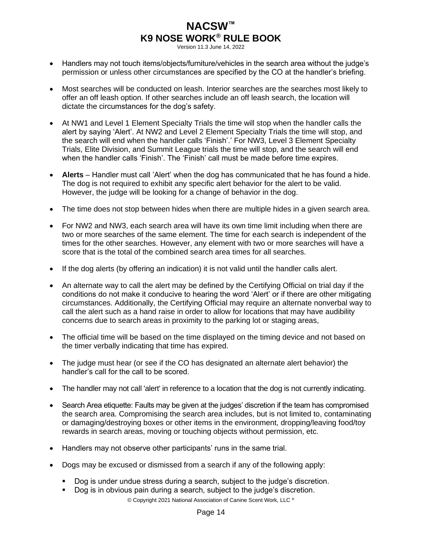Version 11.3 June 14, 2022

- Handlers may not touch items/objects/furniture/vehicles in the search area without the judge's permission or unless other circumstances are specified by the CO at the handler's briefing.
- Most searches will be conducted on leash. Interior searches are the searches most likely to offer an off leash option. If other searches include an off leash search, the location will dictate the circumstances for the dog's safety.
- At NW1 and Level 1 Element Specialty Trials the time will stop when the handler calls the alert by saying 'Alert'. At NW2 and Level 2 Element Specialty Trials the time will stop, and the search will end when the handler calls 'Finish'.' For NW3, Level 3 Element Specialty Trials, Elite Division, and Summit League trials the time will stop, and the search will end when the handler calls 'Finish'. The 'Finish' call must be made before time expires.
- **Alerts** Handler must call 'Alert' when the dog has communicated that he has found a hide. The dog is not required to exhibit any specific alert behavior for the alert to be valid. However, the judge will be looking for a change of behavior in the dog.
- The time does not stop between hides when there are multiple hides in a given search area.
- For NW2 and NW3, each search area will have its own time limit including when there are two or more searches of the same element. The time for each search is independent of the times for the other searches. However, any element with two or more searches will have a score that is the total of the combined search area times for all searches.
- If the dog alerts (by offering an indication) it is not valid until the handler calls alert.
- An alternate way to call the alert may be defined by the Certifying Official on trial day if the conditions do not make it conducive to hearing the word 'Alert' or if there are other mitigating circumstances. Additionally, the Certifying Official may require an alternate nonverbal way to call the alert such as a hand raise in order to allow for locations that may have audibility concerns due to search areas in proximity to the parking lot or staging areas,
- The official time will be based on the time displayed on the timing device and not based on the timer verbally indicating that time has expired.
- The judge must hear (or see if the CO has designated an alternate alert behavior) the handler's call for the call to be scored.
- The handler may not call 'alert' in reference to a location that the dog is not currently indicating.
- Search Area etiquette: Faults may be given at the judges' discretion if the team has compromised the search area. Compromising the search area includes, but is not limited to, contaminating or damaging/destroying boxes or other items in the environment, dropping/leaving food/toy rewards in search areas, moving or touching objects without permission, etc.
- Handlers may not observe other participants' runs in the same trial.
- Dogs may be excused or dismissed from a search if any of the following apply:
	- Dog is under undue stress during a search, subject to the judge's discretion.
	- Dog is in obvious pain during a search, subject to the judge's discretion.

© Copyright 2021 National Association of Canine Scent Work, LLC ®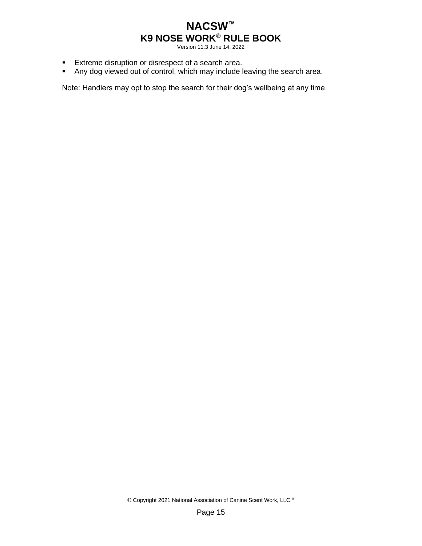Version 11.3 June 14, 2022

- Extreme disruption or disrespect of a search area.
- Any dog viewed out of control, which may include leaving the search area.

Note: Handlers may opt to stop the search for their dog's wellbeing at any time.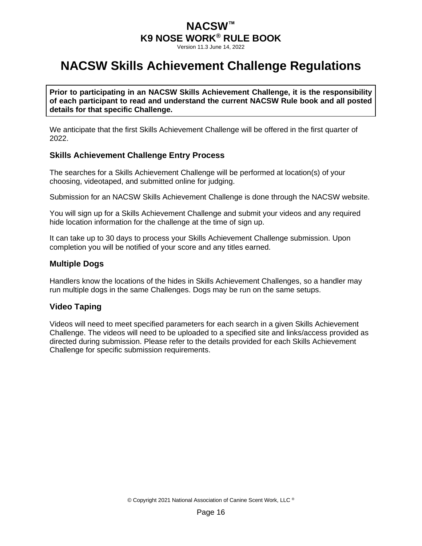Version 11.3 June 14, 2022

# <span id="page-19-0"></span>**NACSW Skills Achievement Challenge Regulations**

**Prior to participating in an NACSW Skills Achievement Challenge, it is the responsibility of each participant to read and understand the current NACSW Rule book and all posted details for that specific Challenge.** 

We anticipate that the first Skills Achievement Challenge will be offered in the first quarter of 2022.

## <span id="page-19-1"></span>**Skills Achievement Challenge Entry Process**

The searches for a Skills Achievement Challenge will be performed at location(s) of your choosing, videotaped, and submitted online for judging.

Submission for an NACSW Skills Achievement Challenge is done through the NACSW website.

You will sign up for a Skills Achievement Challenge and submit your videos and any required hide location information for the challenge at the time of sign up.

It can take up to 30 days to process your Skills Achievement Challenge submission. Upon completion you will be notified of your score and any titles earned.

### <span id="page-19-2"></span>**Multiple Dogs**

Handlers know the locations of the hides in Skills Achievement Challenges, so a handler may run multiple dogs in the same Challenges. Dogs may be run on the same setups.

## <span id="page-19-3"></span>**Video Taping**

Videos will need to meet specified parameters for each search in a given Skills Achievement Challenge. The videos will need to be uploaded to a specified site and links/access provided as directed during submission. Please refer to the details provided for each Skills Achievement Challenge for specific submission requirements.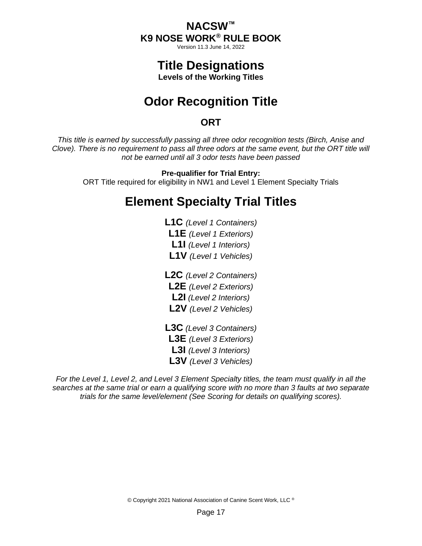Version 11.3 June 14, 2022

# **Title Designations**

**Levels of the Working Titles**

# **Odor Recognition Title**

## **ORT**

<span id="page-20-1"></span><span id="page-20-0"></span>*This title is earned by successfully passing all three odor recognition tests (Birch, Anise and Clove). There is no requirement to pass all three odors at the same event, but the ORT title will not be earned until all 3 odor tests have been passed*

## **Pre-qualifier for Trial Entry:**

<span id="page-20-2"></span>ORT Title required for eligibility in NW1 and Level 1 Element Specialty Trials

# **Element Specialty Trial Titles**

**L1C** *(Level 1 Containers)* **L1E** *(Level 1 Exteriors)* **L1I** *(Level 1 Interiors)* **L1V** *(Level 1 Vehicles)*

**L2C** *(Level 2 Containers)* **L2E** *(Level 2 Exteriors)* **L2I** *(Level 2 Interiors)* **L2V** *(Level 2 Vehicles)*

**L3C** *(Level 3 Containers)* **L3E** *(Level 3 Exteriors)* **L3I** *(Level 3 Interiors)* **L3V** *(Level 3 Vehicles)*

*For the Level 1, Level 2, and Level 3 Element Specialty titles, the team must qualify in all the searches at the same trial or earn a qualifying score with no more than 3 faults at two separate trials for the same level/element (See Scoring for details on qualifying scores).*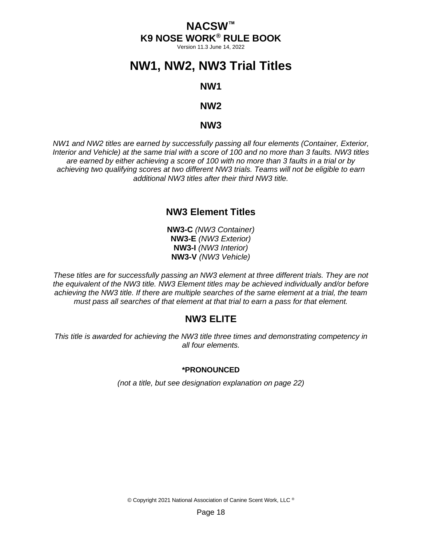Version 11.3 June 14, 2022

# <span id="page-21-0"></span>**NW1, NW2, NW3 Trial Titles**

### **NW1**

## **NW2**

### **NW3**

*NW1 and NW2 titles are earned by successfully passing all four elements (Container, Exterior, Interior and Vehicle) at the same trial with a score of 100 and no more than 3 faults. NW3 titles are earned by either achieving a score of 100 with no more than 3 faults in a trial or by achieving two qualifying scores at two different NW3 trials. Teams will not be eligible to earn additional NW3 titles after their third NW3 title.*

## **NW3 Element Titles**

**NW3-C** *(NW3 Container)* **NW3-E** *(NW3 Exterior)* **NW3-I** *(NW3 Interior)* **NW3-V** *(NW3 Vehicle)*

*These titles are for successfully passing an NW3 element at three different trials. They are not the equivalent of the NW3 title. NW3 Element titles may be achieved individually and/or before achieving the NW3 title. If there are multiple searches of the same element at a trial, the team must pass all searches of that element at that trial to earn a pass for that element.*

## **NW3 ELITE**

*This title is awarded for achieving the NW3 title three times and demonstrating competency in all four elements.*

#### **\*PRONOUNCED**

*(not a title, but see designation explanation on page [22\)](#page-25-0)*

© Copyright 2021 National Association of Canine Scent Work, LLC ®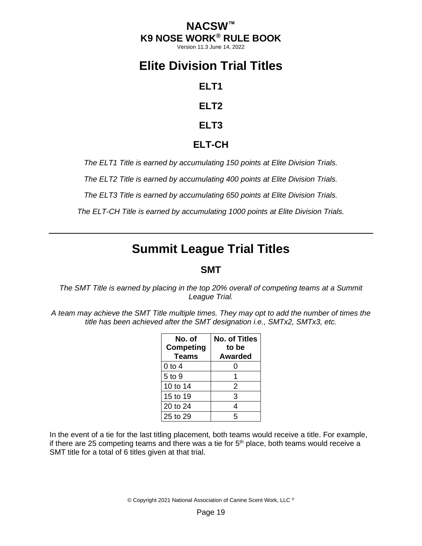Version 11.3 June 14, 2022

# <span id="page-22-0"></span>**Elite Division Trial Titles**

**ELT1**

**ELT2**

**ELT3**

# **ELT-CH**

*The ELT1 Title is earned by accumulating 150 points at Elite Division Trials.*

*The ELT2 Title is earned by accumulating 400 points at Elite Division Trials.*

*The ELT3 Title is earned by accumulating 650 points at Elite Division Trials.*

*The ELT-CH Title is earned by accumulating 1000 points at Elite Division Trials.*

# **Summit League Trial Titles**

# **SMT**

<span id="page-22-1"></span>*The SMT Title is earned by placing in the top 20% overall of competing teams at a Summit League Trial.*

*A team may achieve the SMT Title multiple times. They may opt to add the number of times the title has been achieved after the SMT designation i.e., SMTx2, SMTx3, etc.*

| No. of<br>Competing<br>Teams | <b>No. of Titles</b><br>to be<br><b>Awarded</b> |  |
|------------------------------|-------------------------------------------------|--|
| 0 to 4                       | 0                                               |  |
| 5 to 9                       |                                                 |  |
| 10 to 14                     | 2                                               |  |
| 15 to 19                     | 3                                               |  |
| 20 to 24                     | 4                                               |  |
| 25 to 29                     | 5                                               |  |

In the event of a tie for the last titling placement, both teams would receive a title. For example, if there are 25 competing teams and there was a tie for  $5<sup>th</sup>$  place, both teams would receive a SMT title for a total of 6 titles given at that trial.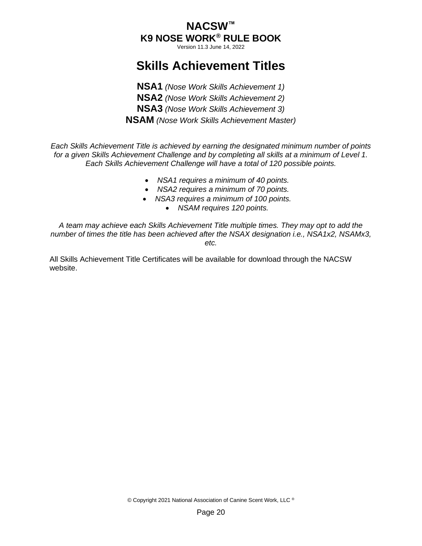Version 11.3 June 14, 2022

# **Skills Achievement Titles**

<span id="page-23-0"></span>**NSA1** *(Nose Work Skills Achievement 1)* **NSA2** *(Nose Work Skills Achievement 2)* **NSA3** *(Nose Work Skills Achievement 3)* **NSAM** *(Nose Work Skills Achievement Master)*

*Each Skills Achievement Title is achieved by earning the designated minimum number of points for a given Skills Achievement Challenge and by completing all skills at a minimum of Level 1. Each Skills Achievement Challenge will have a total of 120 possible points.* 

- *NSA1 requires a minimum of 40 points.*
- *NSA2 requires a minimum of 70 points.*
- *NSA3 requires a minimum of 100 points.* 
	- *NSAM requires 120 points.*

*A team may achieve each Skills Achievement Title multiple times. They may opt to add the number of times the title has been achieved after the NSAX designation i.e., NSA1x2, NSAMx3, etc.*

All Skills Achievement Title Certificates will be available for download through the NACSW website.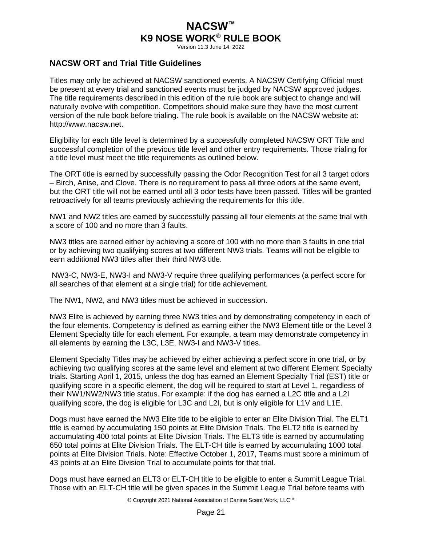Version 11.3 June 14, 2022

### <span id="page-24-0"></span>**NACSW ORT and Trial Title Guidelines**

Titles may only be achieved at NACSW sanctioned events. A NACSW Certifying Official must be present at every trial and sanctioned events must be judged by NACSW approved judges. The title requirements described in this edition of the rule book are subject to change and will naturally evolve with competition. Competitors should make sure they have the most current version of the rule book before trialing. The rule book is available on the NACSW website at: http://www.nacsw.net.

Eligibility for each title level is determined by a successfully completed NACSW ORT Title and successful completion of the previous title level and other entry requirements. Those trialing for a title level must meet the title requirements as outlined below.

The ORT title is earned by successfully passing the Odor Recognition Test for all 3 target odors – Birch, Anise, and Clove. There is no requirement to pass all three odors at the same event, but the ORT title will not be earned until all 3 odor tests have been passed. Titles will be granted retroactively for all teams previously achieving the requirements for this title.

NW1 and NW2 titles are earned by successfully passing all four elements at the same trial with a score of 100 and no more than 3 faults.

NW3 titles are earned either by achieving a score of 100 with no more than 3 faults in one trial or by achieving two qualifying scores at two different NW3 trials. Teams will not be eligible to earn additional NW3 titles after their third NW3 title.

NW3-C, NW3-E, NW3-I and NW3-V require three qualifying performances (a perfect score for all searches of that element at a single trial) for title achievement.

The NW1, NW2, and NW3 titles must be achieved in succession.

NW3 Elite is achieved by earning three NW3 titles and by demonstrating competency in each of the four elements. Competency is defined as earning either the NW3 Element title or the Level 3 Element Specialty title for each element. For example, a team may demonstrate competency in all elements by earning the L3C, L3E, NW3-I and NW3-V titles.

Element Specialty Titles may be achieved by either achieving a perfect score in one trial, or by achieving two qualifying scores at the same level and element at two different Element Specialty trials. Starting April 1, 2015, unless the dog has earned an Element Specialty Trial (EST) title or qualifying score in a specific element, the dog will be required to start at Level 1, regardless of their NW1/NW2/NW3 title status. For example: if the dog has earned a L2C title and a L2I qualifying score, the dog is eligible for L3C and L2I, but is only eligible for L1V and L1E.

Dogs must have earned the NW3 Elite title to be eligible to enter an Elite Division Trial. The ELT1 title is earned by accumulating 150 points at Elite Division Trials. The ELT2 title is earned by accumulating 400 total points at Elite Division Trials. The ELT3 title is earned by accumulating 650 total points at Elite Division Trials. The ELT-CH title is earned by accumulating 1000 total points at Elite Division Trials. Note: Effective October 1, 2017, Teams must score a minimum of 43 points at an Elite Division Trial to accumulate points for that trial.

Dogs must have earned an ELT3 or ELT-CH title to be eligible to enter a Summit League Trial. Those with an ELT-CH title will be given spaces in the Summit League Trial before teams with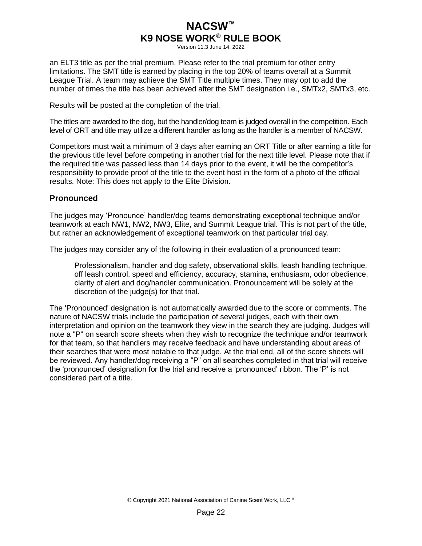Version 11.3 June 14, 2022

an ELT3 title as per the trial premium. Please refer to the trial premium for other entry limitations. The SMT title is earned by placing in the top 20% of teams overall at a Summit League Trial. A team may achieve the SMT Title multiple times. They may opt to add the number of times the title has been achieved after the SMT designation i.e., SMTx2, SMTx3, etc.

Results will be posted at the completion of the trial.

The titles are awarded to the dog, but the handler/dog team is judged overall in the competition. Each level of ORT and title may utilize a different handler as long as the handler is a member of NACSW.

Competitors must wait a minimum of 3 days after earning an ORT Title or after earning a title for the previous title level before competing in another trial for the next title level. Please note that if the required title was passed less than 14 days prior to the event, it will be the competitor's responsibility to provide proof of the title to the event host in the form of a photo of the official results. Note: This does not apply to the Elite Division.

### <span id="page-25-0"></span>**Pronounced**

The judges may 'Pronounce' handler/dog teams demonstrating exceptional technique and/or teamwork at each NW1, NW2, NW3, Elite, and Summit League trial. This is not part of the title, but rather an acknowledgement of exceptional teamwork on that particular trial day.

The judges may consider any of the following in their evaluation of a pronounced team:

Professionalism, handler and dog safety, observational skills, leash handling technique, off leash control, speed and efficiency, accuracy, stamina, enthusiasm, odor obedience, clarity of alert and dog/handler communication. Pronouncement will be solely at the discretion of the judge(s) for that trial.

The 'Pronounced' designation is not automatically awarded due to the score or comments. The nature of NACSW trials include the participation of several judges, each with their own interpretation and opinion on the teamwork they view in the search they are judging. Judges will note a "P" on search score sheets when they wish to recognize the technique and/or teamwork for that team, so that handlers may receive feedback and have understanding about areas of their searches that were most notable to that judge. At the trial end, all of the score sheets will be reviewed. Any handler/dog receiving a "P" on all searches completed in that trial will receive the 'pronounced' designation for the trial and receive a 'pronounced' ribbon. The 'P' is not considered part of a title.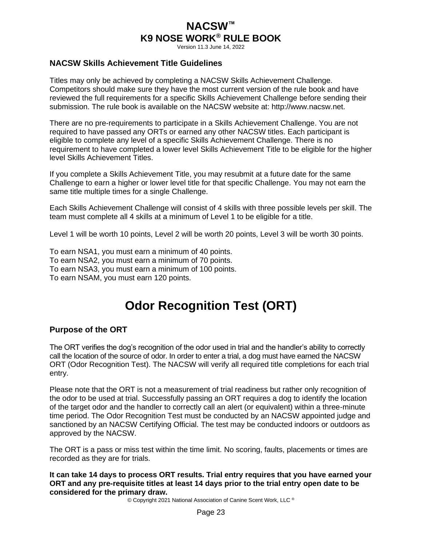Version 11.3 June 14, 2022

### <span id="page-26-0"></span>**NACSW Skills Achievement Title Guidelines**

Titles may only be achieved by completing a NACSW Skills Achievement Challenge. Competitors should make sure they have the most current version of the rule book and have reviewed the full requirements for a specific Skills Achievement Challenge before sending their submission. The rule book is available on the NACSW website at: http://www.nacsw.net.

There are no pre-requirements to participate in a Skills Achievement Challenge. You are not required to have passed any ORTs or earned any other NACSW titles. Each participant is eligible to complete any level of a specific Skills Achievement Challenge. There is no requirement to have completed a lower level Skills Achievement Title to be eligible for the higher level Skills Achievement Titles.

If you complete a Skills Achievement Title, you may resubmit at a future date for the same Challenge to earn a higher or lower level title for that specific Challenge. You may not earn the same title multiple times for a single Challenge.

Each Skills Achievement Challenge will consist of 4 skills with three possible levels per skill. The team must complete all 4 skills at a minimum of Level 1 to be eligible for a title.

Level 1 will be worth 10 points, Level 2 will be worth 20 points, Level 3 will be worth 30 points.

To earn NSA1, you must earn a minimum of 40 points. To earn NSA2, you must earn a minimum of 70 points. To earn NSA3, you must earn a minimum of 100 points. To earn NSAM, you must earn 120 points.

# **Odor Recognition Test (ORT)**

### <span id="page-26-2"></span><span id="page-26-1"></span>**Purpose of the ORT**

The ORT verifies the dog's recognition of the odor used in trial and the handler's ability to correctly call the location of the source of odor. In order to enter a trial, a dog must have earned the NACSW ORT (Odor Recognition Test). The NACSW will verify all required title completions for each trial entry.

Please note that the ORT is not a measurement of trial readiness but rather only recognition of the odor to be used at trial. Successfully passing an ORT requires a dog to identify the location of the target odor and the handler to correctly call an alert (or equivalent) within a three-minute time period. The Odor Recognition Test must be conducted by an NACSW appointed judge and sanctioned by an NACSW Certifying Official. The test may be conducted indoors or outdoors as approved by the NACSW.

The ORT is a pass or miss test within the time limit. No scoring, faults, placements or times are recorded as they are for trials.

**It can take 14 days to process ORT results. Trial entry requires that you have earned your ORT and any pre-requisite titles at least 14 days prior to the trial entry open date to be considered for the primary draw.**

© Copyright 2021 National Association of Canine Scent Work, LLC ®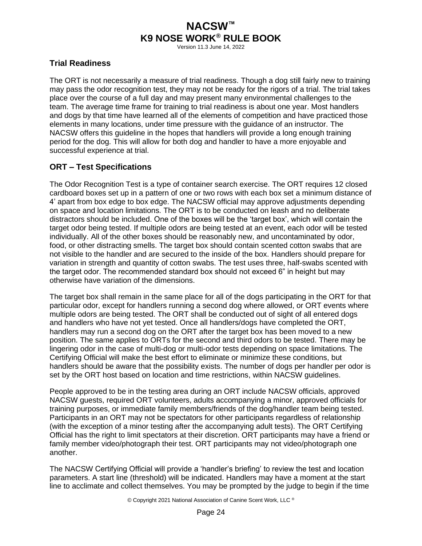Version 11.3 June 14, 2022

### <span id="page-27-0"></span>**Trial Readiness**

The ORT is not necessarily a measure of trial readiness. Though a dog still fairly new to training may pass the odor recognition test, they may not be ready for the rigors of a trial. The trial takes place over the course of a full day and may present many environmental challenges to the team. The average time frame for training to trial readiness is about one year. Most handlers and dogs by that time have learned all of the elements of competition and have practiced those elements in many locations, under time pressure with the guidance of an instructor. The NACSW offers this guideline in the hopes that handlers will provide a long enough training period for the dog. This will allow for both dog and handler to have a more enjoyable and successful experience at trial.

## <span id="page-27-1"></span>**ORT – Test Specifications**

The Odor Recognition Test is a type of container search exercise. The ORT requires 12 closed cardboard boxes set up in a pattern of one or two rows with each box set a minimum distance of 4' apart from box edge to box edge. The NACSW official may approve adjustments depending on space and location limitations. The ORT is to be conducted on leash and no deliberate distractors should be included. One of the boxes will be the 'target box', which will contain the target odor being tested. If multiple odors are being tested at an event, each odor will be tested individually. All of the other boxes should be reasonably new, and uncontaminated by odor, food, or other distracting smells. The target box should contain scented cotton swabs that are not visible to the handler and are secured to the inside of the box. Handlers should prepare for variation in strength and quantity of cotton swabs. The test uses three, half-swabs scented with the target odor. The recommended standard box should not exceed 6" in height but may otherwise have variation of the dimensions.

The target box shall remain in the same place for all of the dogs participating in the ORT for that particular odor, except for handlers running a second dog where allowed, or ORT events where multiple odors are being tested. The ORT shall be conducted out of sight of all entered dogs and handlers who have not yet tested. Once all handlers/dogs have completed the ORT, handlers may run a second dog on the ORT after the target box has been moved to a new position. The same applies to ORTs for the second and third odors to be tested. There may be lingering odor in the case of multi-dog or multi-odor tests depending on space limitations. The Certifying Official will make the best effort to eliminate or minimize these conditions, but handlers should be aware that the possibility exists. The number of dogs per handler per odor is set by the ORT host based on location and time restrictions, within NACSW guidelines.

People approved to be in the testing area during an ORT include NACSW officials, approved NACSW guests, required ORT volunteers, adults accompanying a minor, approved officials for training purposes, or immediate family members/friends of the dog/handler team being tested. Participants in an ORT may not be spectators for other participants regardless of relationship (with the exception of a minor testing after the accompanying adult tests). The ORT Certifying Official has the right to limit spectators at their discretion. ORT participants may have a friend or family member video/photograph their test. ORT participants may not video/photograph one another.

The NACSW Certifying Official will provide a 'handler's briefing' to review the test and location parameters. A start line (threshold) will be indicated. Handlers may have a moment at the start line to acclimate and collect themselves. You may be prompted by the judge to begin if the time

© Copyright 2021 National Association of Canine Scent Work, LLC ®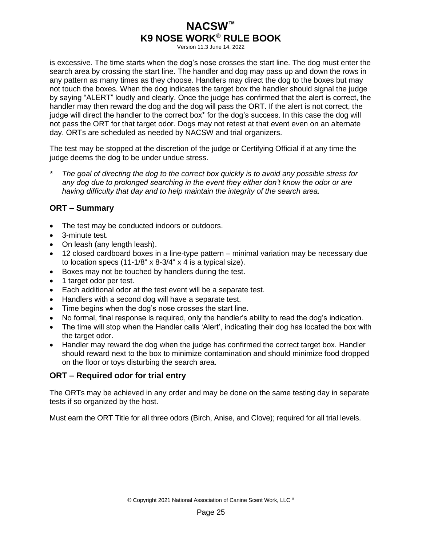Version 11.3 June 14, 2022

is excessive. The time starts when the dog's nose crosses the start line. The dog must enter the search area by crossing the start line. The handler and dog may pass up and down the rows in any pattern as many times as they choose. Handlers may direct the dog to the boxes but may not touch the boxes. When the dog indicates the target box the handler should signal the judge by saying "ALERT" loudly and clearly. Once the judge has confirmed that the alert is correct, the handler may then reward the dog and the dog will pass the ORT. If the alert is not correct, the judge will direct the handler to the correct box\* for the dog's success. In this case the dog will not pass the ORT for that target odor. Dogs may not retest at that event even on an alternate day. ORTs are scheduled as needed by NACSW and trial organizers.

The test may be stopped at the discretion of the judge or Certifying Official if at any time the judge deems the dog to be under undue stress.

*\* The goal of directing the dog to the correct box quickly is to avoid any possible stress for any dog due to prolonged searching in the event they either don't know the odor or are having difficulty that day and to help maintain the integrity of the search area.* 

### <span id="page-28-0"></span>**ORT – Summary**

- The test may be conducted indoors or outdoors.
- 3-minute test.
- On leash (any length leash).
- 12 closed cardboard boxes in a line-type pattern minimal variation may be necessary due to location specs (11-1/8" x 8-3/4" x 4 is a typical size).
- Boxes may not be touched by handlers during the test.
- 1 target odor per test.
- Each additional odor at the test event will be a separate test.
- Handlers with a second dog will have a separate test.
- Time begins when the dog's nose crosses the start line.
- No formal, final response is required, only the handler's ability to read the dog's indication.
- The time will stop when the Handler calls 'Alert', indicating their dog has located the box with the target odor.
- Handler may reward the dog when the judge has confirmed the correct target box. Handler should reward next to the box to minimize contamination and should minimize food dropped on the floor or toys disturbing the search area.

### <span id="page-28-1"></span>**ORT – Required odor for trial entry**

The ORTs may be achieved in any order and may be done on the same testing day in separate tests if so organized by the host.

Must earn the ORT Title for all three odors (Birch, Anise, and Clove); required for all trial levels.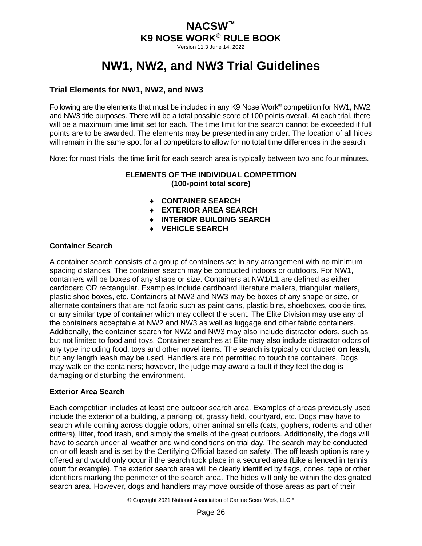Version 11.3 June 14, 2022

# **NW1, NW2, and NW3 Trial Guidelines**

## <span id="page-29-1"></span><span id="page-29-0"></span>**Trial Elements for NW1, NW2, and NW3**

Following are the elements that must be included in any K9 Nose Work® competition for NW1, NW2, and NW3 title purposes. There will be a total possible score of 100 points overall. At each trial, there will be a maximum time limit set for each. The time limit for the search cannot be exceeded if full points are to be awarded. The elements may be presented in any order. The location of all hides will remain in the same spot for all competitors to allow for no total time differences in the search.

Note: for most trials, the time limit for each search area is typically between two and four minutes.

### **ELEMENTS OF THE INDIVIDUAL COMPETITION (100-point total score)**

- **CONTAINER SEARCH**
- **EXTERIOR AREA SEARCH**
- **INTERIOR BUILDING SEARCH**
- **VEHICLE SEARCH**

### **Container Search**

A container search consists of a group of containers set in any arrangement with no minimum spacing distances. The container search may be conducted indoors or outdoors. For NW1, containers will be boxes of any shape or size. Containers at NW1/L1 are defined as either cardboard OR rectangular. Examples include cardboard literature mailers, triangular mailers, plastic shoe boxes, etc. Containers at NW2 and NW3 may be boxes of any shape or size, or alternate containers that are not fabric such as paint cans, plastic bins, shoeboxes, cookie tins, or any similar type of container which may collect the scent*.* The Elite Division may use any of the containers acceptable at NW2 and NW3 as well as luggage and other fabric containers. Additionally, the container search for NW2 and NW3 may also include distractor odors, such as but not limited to food and toys. Container searches at Elite may also include distractor odors of any type including food, toys and other novel items. The search is typically conducted **on leash**, but any length leash may be used. Handlers are not permitted to touch the containers. Dogs may walk on the containers; however, the judge may award a fault if they feel the dog is damaging or disturbing the environment.

### **Exterior Area Search**

Each competition includes at least one outdoor search area. Examples of areas previously used include the exterior of a building, a parking lot, grassy field, courtyard, etc. Dogs may have to search while coming across doggie odors, other animal smells (cats, gophers, rodents and other critters), litter, food trash, and simply the smells of the great outdoors. Additionally, the dogs will have to search under all weather and wind conditions on trial day. The search may be conducted on or off leash and is set by the Certifying Official based on safety. The off leash option is rarely offered and would only occur if the search took place in a secured area (Like a fenced in tennis court for example). The exterior search area will be clearly identified by flags, cones, tape or other identifiers marking the perimeter of the search area. The hides will only be within the designated search area. However, dogs and handlers may move outside of those areas as part of their

© Copyright 2021 National Association of Canine Scent Work, LLC ®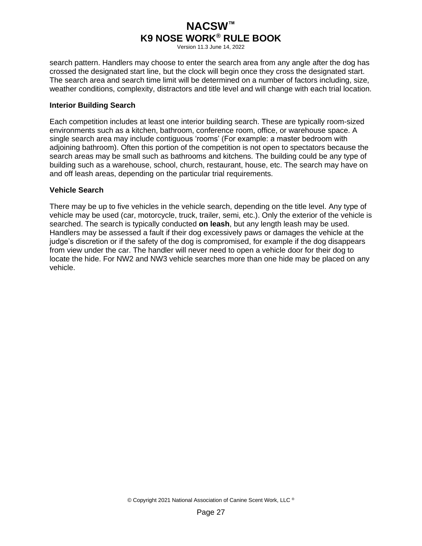Version 11.3 June 14, 2022

search pattern. Handlers may choose to enter the search area from any angle after the dog has crossed the designated start line, but the clock will begin once they cross the designated start. The search area and search time limit will be determined on a number of factors including, size, weather conditions, complexity, distractors and title level and will change with each trial location.

#### **Interior Building Search**

Each competition includes at least one interior building search. These are typically room-sized environments such as a kitchen, bathroom, conference room, office, or warehouse space. A single search area may include contiguous 'rooms' (For example: a master bedroom with adjoining bathroom). Often this portion of the competition is not open to spectators because the search areas may be small such as bathrooms and kitchens. The building could be any type of building such as a warehouse, school, church, restaurant, house, etc. The search may have on and off leash areas, depending on the particular trial requirements.

#### **Vehicle Search**

There may be up to five vehicles in the vehicle search, depending on the title level. Any type of vehicle may be used (car, motorcycle, truck, trailer, semi, etc.). Only the exterior of the vehicle is searched. The search is typically conducted **on leash**, but any length leash may be used. Handlers may be assessed a fault if their dog excessively paws or damages the vehicle at the judge's discretion or if the safety of the dog is compromised, for example if the dog disappears from view under the car. The handler will never need to open a vehicle door for their dog to locate the hide. For NW2 and NW3 vehicle searches more than one hide may be placed on any vehicle.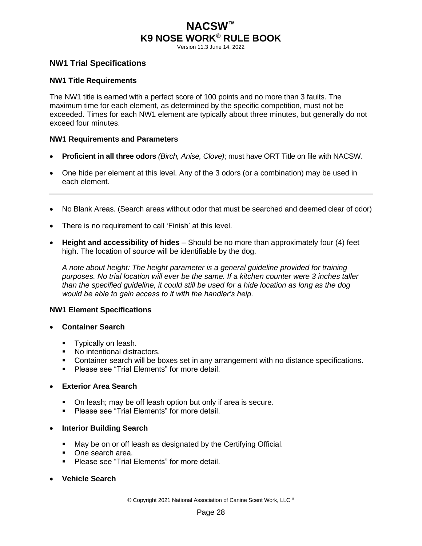Version 11.3 June 14, 2022

### <span id="page-31-0"></span>**NW1 Trial Specifications**

#### **NW1 Title Requirements**

The NW1 title is earned with a perfect score of 100 points and no more than 3 faults. The maximum time for each element, as determined by the specific competition, must not be exceeded. Times for each NW1 element are typically about three minutes, but generally do not exceed four minutes.

#### **NW1 Requirements and Parameters**

- **Proficient in all three odors** *(Birch, Anise, Clove)*; must have ORT Title on file with NACSW.
- One hide per element at this level. Any of the 3 odors (or a combination) may be used in each element.
- No Blank Areas. (Search areas without odor that must be searched and deemed clear of odor)
- There is no requirement to call 'Finish' at this level.
- **Height and accessibility of hides** Should be no more than approximately four (4) feet high. The location of source will be identifiable by the dog.

*A note about height: The height parameter is a general guideline provided for training purposes. No trial location will ever be the same. If a kitchen counter were 3 inches taller than the specified guideline, it could still be used for a hide location as long as the dog would be able to gain access to it with the handler's help.*

#### **NW1 Element Specifications**

- **Container Search**
	- **•** Typically on leash.
	- No intentional distractors.
	- Container search will be boxes set in any arrangement with no distance specifications.
	- Please see "Trial Flements" for more detail.
- **Exterior Area Search**
	- On leash; may be off leash option but only if area is secure.
	- Please see "Trial Flements" for more detail.
- **Interior Building Search**
	- May be on or off leash as designated by the Certifying Official.
	- One search area.
	- Please see "Trial Elements" for more detail.
- **Vehicle Search**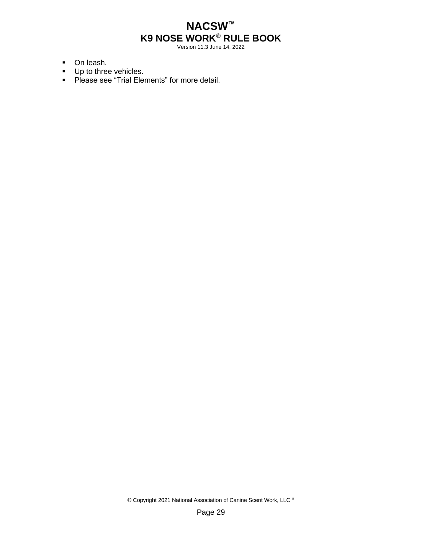Version 11.3 June 14, 2022

- On leash.
- Up to three vehicles.
- Please see "Trial Elements" for more detail.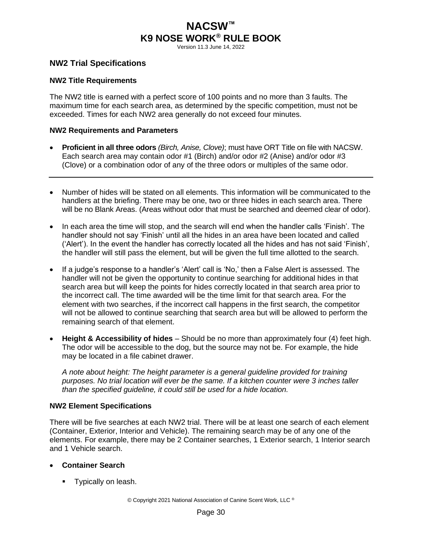Version 11.3 June 14, 2022

### <span id="page-33-0"></span>**NW2 Trial Specifications**

#### **NW2 Title Requirements**

The NW2 title is earned with a perfect score of 100 points and no more than 3 faults. The maximum time for each search area, as determined by the specific competition, must not be exceeded. Times for each NW2 area generally do not exceed four minutes.

#### **NW2 Requirements and Parameters**

- **Proficient in all three odors** *(Birch, Anise, Clove)*; must have ORT Title on file with NACSW. Each search area may contain odor #1 (Birch) and/or odor #2 (Anise) and/or odor #3 (Clove) or a combination odor of any of the three odors or multiples of the same odor.
- Number of hides will be stated on all elements. This information will be communicated to the handlers at the briefing. There may be one, two or three hides in each search area. There will be no Blank Areas. (Areas without odor that must be searched and deemed clear of odor).
- In each area the time will stop, and the search will end when the handler calls 'Finish'. The handler should not say 'Finish' until all the hides in an area have been located and called ('Alert'). In the event the handler has correctly located all the hides and has not said 'Finish', the handler will still pass the element, but will be given the full time allotted to the search.
- If a judge's response to a handler's 'Alert' call is 'No,' then a False Alert is assessed. The handler will not be given the opportunity to continue searching for additional hides in that search area but will keep the points for hides correctly located in that search area prior to the incorrect call. The time awarded will be the time limit for that search area. For the element with two searches, if the incorrect call happens in the first search, the competitor will not be allowed to continue searching that search area but will be allowed to perform the remaining search of that element.
- **Height & Accessibility of hides** Should be no more than approximately four (4) feet high. The odor will be accessible to the dog, but the source may not be. For example, the hide may be located in a file cabinet drawer.

*A note about height: The height parameter is a general guideline provided for training purposes. No trial location will ever be the same. If a kitchen counter were 3 inches taller than the specified guideline, it could still be used for a hide location.*

#### **NW2 Element Specifications**

There will be five searches at each NW2 trial. There will be at least one search of each element (Container, Exterior, Interior and Vehicle). The remaining search may be of any one of the elements. For example, there may be 2 Container searches, 1 Exterior search, 1 Interior search and 1 Vehicle search.

#### • **Container Search**

**•** Typically on leash.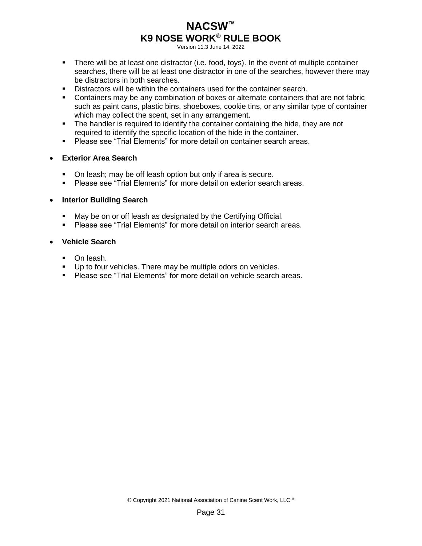Version 11.3 June 14, 2022

- **•** There will be at least one distractor (i.e. food, toys). In the event of multiple container searches, there will be at least one distractor in one of the searches, however there may be distractors in both searches.
- Distractors will be within the containers used for the container search.
- **Containers may be any combination of boxes or alternate containers that are not fabric** such as paint cans, plastic bins, shoeboxes, cookie tins, or any similar type of container which may collect the scent, set in any arrangement.
- **•** The handler is required to identify the container containing the hide, they are not required to identify the specific location of the hide in the container.
- Please see "Trial Elements" for more detail on container search areas.

#### • **Exterior Area Search**

- On leash; may be off leash option but only if area is secure.
- Please see "Trial Elements" for more detail on exterior search areas.

#### • **Interior Building Search**

- May be on or off leash as designated by the Certifying Official.
- Please see "Trial Elements" for more detail on interior search areas.

#### • **Vehicle Search**

- On leash.
- Up to four vehicles. There may be multiple odors on vehicles.
- Please see "Trial Flements" for more detail on vehicle search areas.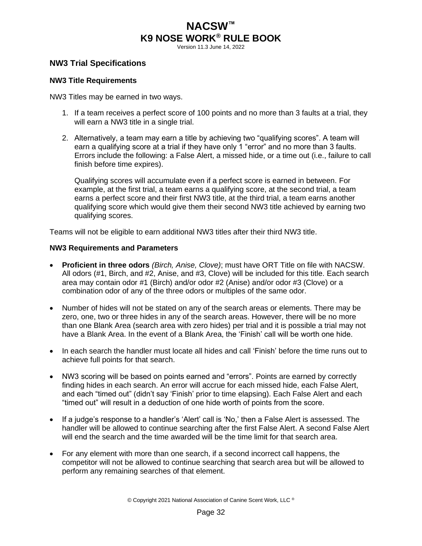Version 11.3 June 14, 2022

### <span id="page-35-0"></span>**NW3 Trial Specifications**

#### **NW3 Title Requirements**

NW3 Titles may be earned in two ways.

- 1. If a team receives a perfect score of 100 points and no more than 3 faults at a trial, they will earn a NW3 title in a single trial.
- 2. Alternatively, a team may earn a title by achieving two "qualifying scores". A team will earn a qualifying score at a trial if they have only 1 "error" and no more than 3 faults. Errors include the following: a False Alert, a missed hide, or a time out (i.e., failure to call finish before time expires).

Qualifying scores will accumulate even if a perfect score is earned in between. For example, at the first trial, a team earns a qualifying score, at the second trial, a team earns a perfect score and their first NW3 title, at the third trial, a team earns another qualifying score which would give them their second NW3 title achieved by earning two qualifying scores.

Teams will not be eligible to earn additional NW3 titles after their third NW3 title.

#### **NW3 Requirements and Parameters**

- **Proficient in three odors** *(Birch, Anise, Clove)*; must have ORT Title on file with NACSW. All odors (#1, Birch, and #2, Anise, and #3, Clove) will be included for this title. Each search area may contain odor #1 (Birch) and/or odor #2 (Anise) and/or odor #3 (Clove) or a combination odor of any of the three odors or multiples of the same odor.
- Number of hides will not be stated on any of the search areas or elements. There may be zero, one, two or three hides in any of the search areas. However, there will be no more than one Blank Area (search area with zero hides) per trial and it is possible a trial may not have a Blank Area. In the event of a Blank Area, the 'Finish' call will be worth one hide.
- In each search the handler must locate all hides and call 'Finish' before the time runs out to achieve full points for that search.
- NW3 scoring will be based on points earned and "errors". Points are earned by correctly finding hides in each search. An error will accrue for each missed hide, each False Alert, and each "timed out" (didn't say 'Finish' prior to time elapsing). Each False Alert and each "timed out" will result in a deduction of one hide worth of points from the score.
- If a judge's response to a handler's 'Alert' call is 'No,' then a False Alert is assessed. The handler will be allowed to continue searching after the first False Alert. A second False Alert will end the search and the time awarded will be the time limit for that search area.
- For any element with more than one search, if a second incorrect call happens, the competitor will not be allowed to continue searching that search area but will be allowed to perform any remaining searches of that element.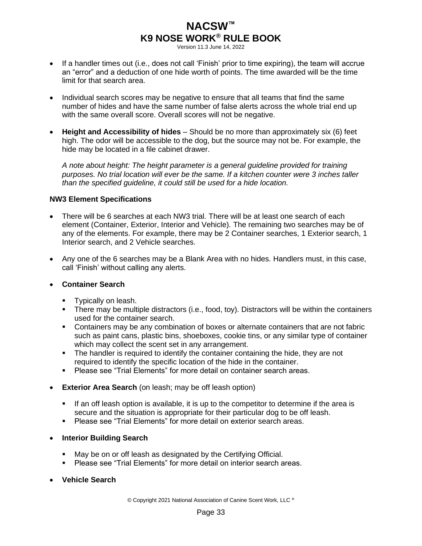Version 11.3 June 14, 2022

- If a handler times out (i.e., does not call 'Finish' prior to time expiring), the team will accrue an "error" and a deduction of one hide worth of points. The time awarded will be the time limit for that search area.
- Individual search scores may be negative to ensure that all teams that find the same number of hides and have the same number of false alerts across the whole trial end up with the same overall score. Overall scores will not be negative.
- **Height and Accessibility of hides** Should be no more than approximately six (6) feet high. The odor will be accessible to the dog, but the source may not be. For example, the hide may be located in a file cabinet drawer.

*A note about height: The height parameter is a general guideline provided for training purposes. No trial location will ever be the same. If a kitchen counter were 3 inches taller than the specified guideline, it could still be used for a hide location.*

### **NW3 Element Specifications**

- There will be 6 searches at each NW3 trial. There will be at least one search of each element (Container, Exterior, Interior and Vehicle). The remaining two searches may be of any of the elements. For example, there may be 2 Container searches, 1 Exterior search, 1 Interior search, and 2 Vehicle searches.
- Any one of the 6 searches may be a Blank Area with no hides. Handlers must, in this case, call 'Finish' without calling any alerts.

### • **Container Search**

- **•** Typically on leash.
- **·** There may be multiple distractors (i.e., food, toy). Distractors will be within the containers used for the container search.
- Containers may be any combination of boxes or alternate containers that are not fabric such as paint cans, plastic bins, shoeboxes, cookie tins, or any similar type of container which may collect the scent set in any arrangement.
- **•** The handler is required to identify the container containing the hide, they are not required to identify the specific location of the hide in the container.
- Please see "Trial Elements" for more detail on container search areas.
- **Exterior Area Search** (on leash; may be off leash option)
	- **.** If an off leash option is available, it is up to the competitor to determine if the area is secure and the situation is appropriate for their particular dog to be off leash.
	- Please see "Trial Elements" for more detail on exterior search areas.
- **Interior Building Search**
	- May be on or off leash as designated by the Certifying Official.
	- Please see "Trial Elements" for more detail on interior search areas.
- **Vehicle Search**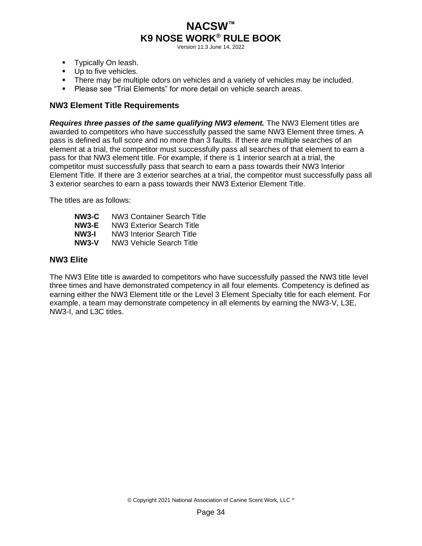Version 11.3 June 14, 2022

- **•** Typically On leash.
- **■** Up to five vehicles.
- **•** There may be multiple odors on vehicles and a variety of vehicles may be included.
- Please see "Trial Elements" for more detail on vehicle search areas.

### <span id="page-37-0"></span>**NW3 Element Title Requirements**

*Requires three passes of the same qualifying NW3 element.* The NW3 Element titles are awarded to competitors who have successfully passed the same NW3 Element three times. A pass is defined as full score and no more than 3 faults. If there are multiple searches of an element at a trial, the competitor must successfully pass all searches of that element to earn a pass for that NW3 element title. For example, if there is 1 interior search at a trial, the competitor must successfully pass that search to earn a pass towards their NW3 Interior Element Title. If there are 3 exterior searches at a trial, the competitor must successfully pass all 3 exterior searches to earn a pass towards their NW3 Exterior Element Title.

The titles are as follows:

**NW3-C** NW3 Container Search Title **NW3-E** NW3 Exterior Search Title **NW3-I** NW3 Interior Search Title **NW3-V** NW3 Vehicle Search Title

### <span id="page-37-1"></span>**NW3 Elite**

The NW3 Elite title is awarded to competitors who have successfully passed the NW3 title level three times and have demonstrated competency in all four elements. Competency is defined as earning either the NW3 Element title or the Level 3 Element Specialty title for each element. For example, a team may demonstrate competency in all elements by earning the NW3-V, L3E, NW3-I, and L3C titles.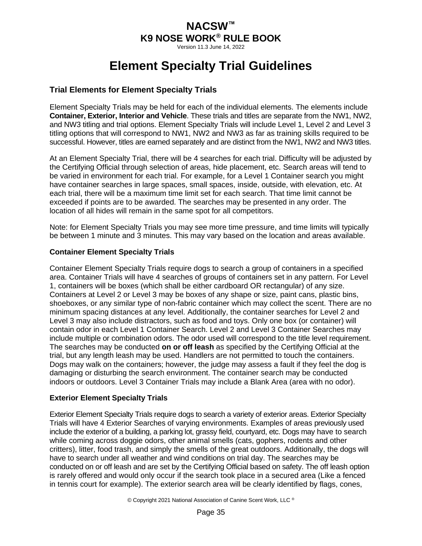Version 11.3 June 14, 2022

# **Element Specialty Trial Guidelines**

## <span id="page-38-1"></span><span id="page-38-0"></span>**Trial Elements for Element Specialty Trials**

Element Specialty Trials may be held for each of the individual elements. The elements include **Container, Exterior, Interior and Vehicle**. These trials and titles are separate from the NW1, NW2, and NW3 titling and trial options. Element Specialty Trials will include Level 1, Level 2 and Level 3 titling options that will correspond to NW1, NW2 and NW3 as far as training skills required to be successful. However, titles are earned separately and are distinct from the NW1, NW2 and NW3 titles.

At an Element Specialty Trial, there will be 4 searches for each trial. Difficulty will be adjusted by the Certifying Official through selection of areas, hide placement, etc. Search areas will tend to be varied in environment for each trial. For example, for a Level 1 Container search you might have container searches in large spaces, small spaces, inside, outside, with elevation, etc. At each trial, there will be a maximum time limit set for each search. That time limit cannot be exceeded if points are to be awarded. The searches may be presented in any order. The location of all hides will remain in the same spot for all competitors.

Note: for Element Specialty Trials you may see more time pressure, and time limits will typically be between 1 minute and 3 minutes. This may vary based on the location and areas available.

### **Container Element Specialty Trials**

Container Element Specialty Trials require dogs to search a group of containers in a specified area. Container Trials will have 4 searches of groups of containers set in any pattern. For Level 1, containers will be boxes (which shall be either cardboard OR rectangular) of any size. Containers at Level 2 or Level 3 may be boxes of any shape or size, paint cans, plastic bins, shoeboxes, or any similar type of non-fabric container which may collect the scent. There are no minimum spacing distances at any level. Additionally, the container searches for Level 2 and Level 3 may also include distractors, such as food and toys. Only one box (or container) will contain odor in each Level 1 Container Search. Level 2 and Level 3 Container Searches may include multiple or combination odors. The odor used will correspond to the title level requirement. The searches may be conducted **on or off leash** as specified by the Certifying Official at the trial, but any length leash may be used. Handlers are not permitted to touch the containers. Dogs may walk on the containers; however, the judge may assess a fault if they feel the dog is damaging or disturbing the search environment. The container search may be conducted indoors or outdoors. Level 3 Container Trials may include a Blank Area (area with no odor).

### **Exterior Element Specialty Trials**

Exterior Element Specialty Trials require dogs to search a variety of exterior areas. Exterior Specialty Trials will have 4 Exterior Searches of varying environments. Examples of areas previously used include the exterior of a building, a parking lot, grassy field, courtyard, etc. Dogs may have to search while coming across doggie odors, other animal smells (cats, gophers, rodents and other critters), litter, food trash, and simply the smells of the great outdoors. Additionally, the dogs will have to search under all weather and wind conditions on trial day. The searches may be conducted on or off leash and are set by the Certifying Official based on safety. The off leash option is rarely offered and would only occur if the search took place in a secured area (Like a fenced in tennis court for example). The exterior search area will be clearly identified by flags, cones,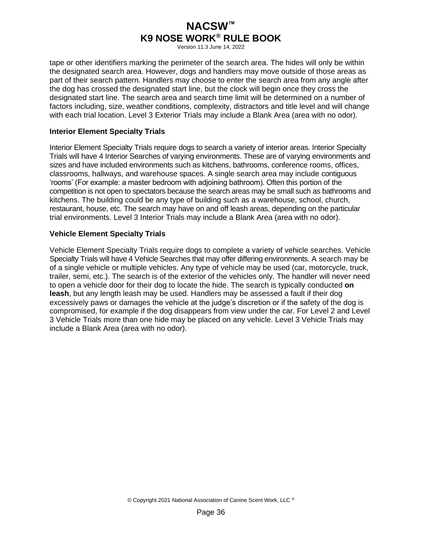Version 11.3 June 14, 2022

tape or other identifiers marking the perimeter of the search area. The hides will only be within the designated search area. However, dogs and handlers may move outside of those areas as part of their search pattern. Handlers may choose to enter the search area from any angle after the dog has crossed the designated start line, but the clock will begin once they cross the designated start line. The search area and search time limit will be determined on a number of factors including, size, weather conditions, complexity, distractors and title level and will change with each trial location. Level 3 Exterior Trials may include a Blank Area (area with no odor).

#### **Interior Element Specialty Trials**

Interior Element Specialty Trials require dogs to search a variety of interior areas. Interior Specialty Trials will have 4 Interior Searches of varying environments. These are of varying environments and sizes and have included environments such as kitchens, bathrooms, conference rooms, offices, classrooms, hallways, and warehouse spaces. A single search area may include contiguous 'rooms' (For example: a master bedroom with adjoining bathroom). Often this portion of the competition is not open to spectators because the search areas may be small such as bathrooms and kitchens. The building could be any type of building such as a warehouse, school, church, restaurant, house, etc. The search may have on and off leash areas, depending on the particular trial environments. Level 3 Interior Trials may include a Blank Area (area with no odor).

#### **Vehicle Element Specialty Trials**

Vehicle Element Specialty Trials require dogs to complete a variety of vehicle searches. Vehicle Specialty Trials will have 4 Vehicle Searches that may offer differing environments. A search may be of a single vehicle or multiple vehicles. Any type of vehicle may be used (car, motorcycle, truck, trailer, semi, etc.). The search is of the exterior of the vehicles only. The handler will never need to open a vehicle door for their dog to locate the hide. The search is typically conducted **on leash**, but any length leash may be used. Handlers may be assessed a fault if their dog excessively paws or damages the vehicle at the judge's discretion or if the safety of the dog is compromised, for example if the dog disappears from view under the car. For Level 2 and Level 3 Vehicle Trials more than one hide may be placed on any vehicle. Level 3 Vehicle Trials may include a Blank Area (area with no odor).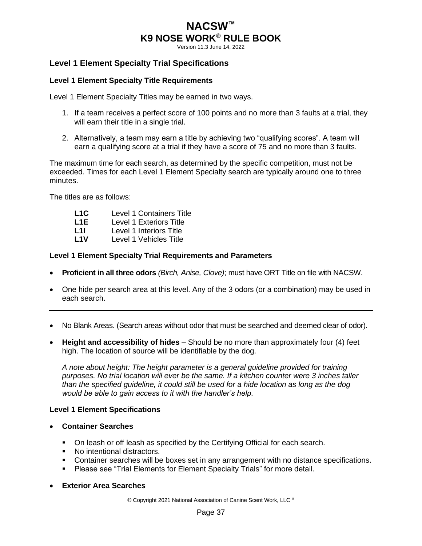Version 11.3 June 14, 2022

## <span id="page-40-0"></span>**Level 1 Element Specialty Trial Specifications**

#### **Level 1 Element Specialty Title Requirements**

Level 1 Element Specialty Titles may be earned in two ways.

- 1. If a team receives a perfect score of 100 points and no more than 3 faults at a trial, they will earn their title in a single trial.
- 2. Alternatively, a team may earn a title by achieving two "qualifying scores". A team will earn a qualifying score at a trial if they have a score of 75 and no more than 3 faults.

The maximum time for each search, as determined by the specific competition, must not be exceeded. Times for each Level 1 Element Specialty search are typically around one to three minutes.

The titles are as follows:

- **L1C** Level 1 Containers Title L1E Level 1 Exteriors Title **L1I** Level 1 Interiors Title
- **L1V** Level 1 Vehicles Title

#### **Level 1 Element Specialty Trial Requirements and Parameters**

- **Proficient in all three odors** *(Birch, Anise, Clove)*; must have ORT Title on file with NACSW.
- One hide per search area at this level. Any of the 3 odors (or a combination) may be used in each search.
- No Blank Areas. (Search areas without odor that must be searched and deemed clear of odor).
- **Height and accessibility of hides** Should be no more than approximately four (4) feet high. The location of source will be identifiable by the dog.

*A note about height: The height parameter is a general guideline provided for training purposes. No trial location will ever be the same. If a kitchen counter were 3 inches taller than the specified guideline, it could still be used for a hide location as long as the dog would be able to gain access to it with the handler's help.*

#### **Level 1 Element Specifications**

- **Container Searches**
	- On leash or off leash as specified by the Certifying Official for each search.
	- No intentional distractors.
	- Container searches will be boxes set in any arrangement with no distance specifications.
	- **Please see "Trial Elements for Element Specialty Trials" for more detail.**
- **Exterior Area Searches**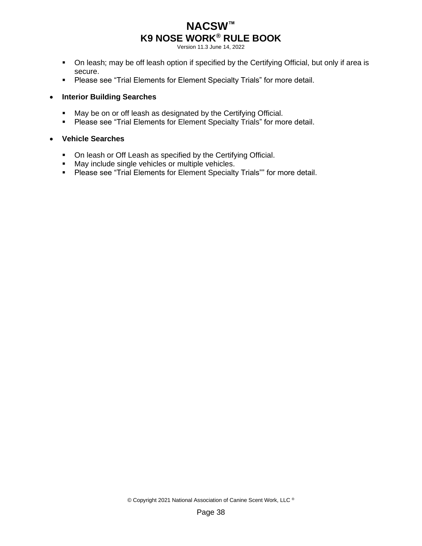Version 11.3 June 14, 2022

- On leash; may be off leash option if specified by the Certifying Official, but only if area is secure.
- **Please see "Trial Elements for Element Specialty Trials" for more detail.**

### • **Interior Building Searches**

- **■** May be on or off leash as designated by the Certifying Official.
- Please see "Trial Elements for Element Specialty Trials" for more detail.

#### • **Vehicle Searches**

- On leash or Off Leash as specified by the Certifying Official.
- May include single vehicles or multiple vehicles.
- Please see "Trial Elements for Element Specialty Trials"" for more detail.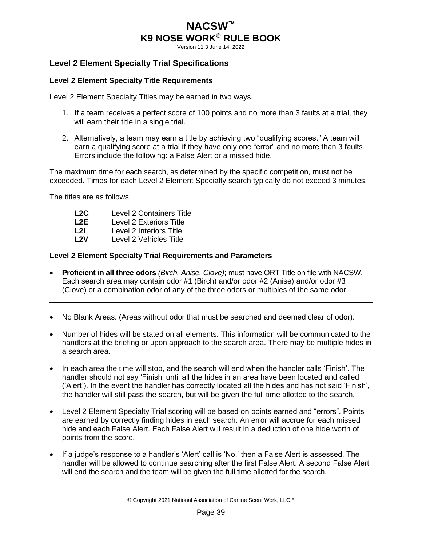Version 11.3 June 14, 2022

## <span id="page-42-0"></span>**Level 2 Element Specialty Trial Specifications**

#### **Level 2 Element Specialty Title Requirements**

Level 2 Element Specialty Titles may be earned in two ways.

- 1. If a team receives a perfect score of 100 points and no more than 3 faults at a trial, they will earn their title in a single trial.
- 2. Alternatively, a team may earn a title by achieving two "qualifying scores." A team will earn a qualifying score at a trial if they have only one "error" and no more than 3 faults. Errors include the following: a False Alert or a missed hide,

The maximum time for each search, as determined by the specific competition, must not be exceeded. Times for each Level 2 Element Specialty search typically do not exceed 3 minutes.

The titles are as follows:

- **L2C** Level 2 Containers Title
- **Level 2 Exteriors Title**
- **L2I** Level 2 Interiors Title<br>
L2V Level 2 Vehicles Title
- Level 2 Vehicles Title

#### **Level 2 Element Specialty Trial Requirements and Parameters**

- **Proficient in all three odors** *(Birch, Anise, Clove)*; must have ORT Title on file with NACSW. Each search area may contain odor #1 (Birch) and/or odor #2 (Anise) and/or odor #3 (Clove) or a combination odor of any of the three odors or multiples of the same odor.
- No Blank Areas. (Areas without odor that must be searched and deemed clear of odor).
- Number of hides will be stated on all elements. This information will be communicated to the handlers at the briefing or upon approach to the search area. There may be multiple hides in a search area.
- In each area the time will stop, and the search will end when the handler calls 'Finish'. The handler should not say 'Finish' until all the hides in an area have been located and called ('Alert'). In the event the handler has correctly located all the hides and has not said 'Finish', the handler will still pass the search, but will be given the full time allotted to the search.
- Level 2 Element Specialty Trial scoring will be based on points earned and "errors". Points are earned by correctly finding hides in each search. An error will accrue for each missed hide and each False Alert. Each False Alert will result in a deduction of one hide worth of points from the score.
- If a judge's response to a handler's 'Alert' call is 'No,' then a False Alert is assessed. The handler will be allowed to continue searching after the first False Alert. A second False Alert will end the search and the team will be given the full time allotted for the search.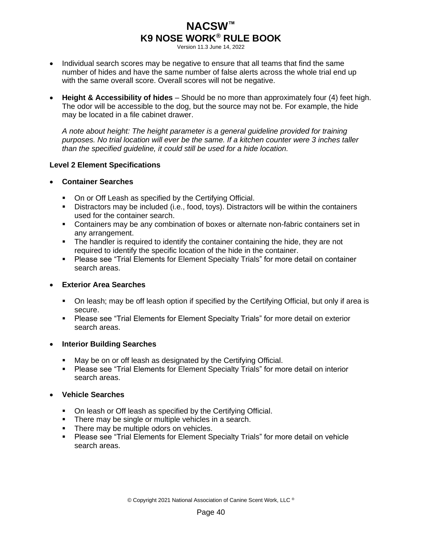Version 11.3 June 14, 2022

- Individual search scores may be negative to ensure that all teams that find the same number of hides and have the same number of false alerts across the whole trial end up with the same overall score. Overall scores will not be negative.
- **Height & Accessibility of hides** Should be no more than approximately four (4) feet high. The odor will be accessible to the dog, but the source may not be. For example, the hide may be located in a file cabinet drawer.

*A note about height: The height parameter is a general guideline provided for training purposes. No trial location will ever be the same. If a kitchen counter were 3 inches taller than the specified guideline, it could still be used for a hide location.*

### **Level 2 Element Specifications**

- **Container Searches**
	- On or Off Leash as specified by the Certifying Official.
	- Distractors may be included (i.e., food, toys). Distractors will be within the containers used for the container search.
	- **•** Containers may be any combination of boxes or alternate non-fabric containers set in any arrangement.
	- **•** The handler is required to identify the container containing the hide, they are not required to identify the specific location of the hide in the container.
	- **Please see "Trial Elements for Element Specialty Trials" for more detail on container** search areas.

### • **Exterior Area Searches**

- On leash; may be off leash option if specified by the Certifying Official, but only if area is secure.
- **Please see "Trial Elements for Element Specialty Trials" for more detail on exterior** search areas.

### • **Interior Building Searches**

- May be on or off leash as designated by the Certifying Official.
- Please see "Trial Elements for Element Specialty Trials" for more detail on interior search areas.
- **Vehicle Searches**
	- On leash or Off leash as specified by the Certifying Official.
	- **•** There may be single or multiple vehicles in a search.
	- **•** There may be multiple odors on vehicles.
	- Please see "Trial Elements for Element Specialty Trials" for more detail on vehicle search areas.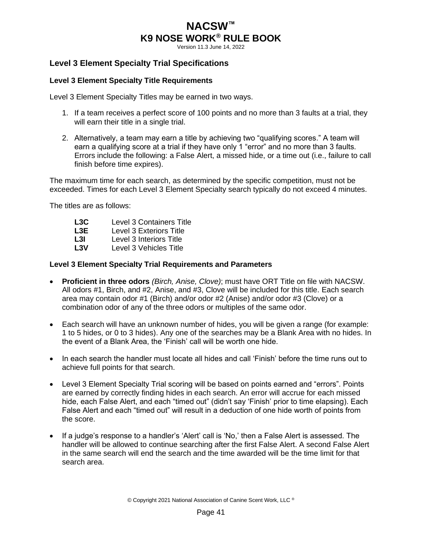Version 11.3 June 14, 2022

## <span id="page-44-0"></span>**Level 3 Element Specialty Trial Specifications**

#### **Level 3 Element Specialty Title Requirements**

Level 3 Element Specialty Titles may be earned in two ways.

- 1. If a team receives a perfect score of 100 points and no more than 3 faults at a trial, they will earn their title in a single trial.
- 2. Alternatively, a team may earn a title by achieving two "qualifying scores." A team will earn a qualifying score at a trial if they have only 1 "error" and no more than 3 faults. Errors include the following: a False Alert, a missed hide, or a time out (i.e., failure to call finish before time expires).

The maximum time for each search, as determined by the specific competition, must not be exceeded. Times for each Level 3 Element Specialty search typically do not exceed 4 minutes.

The titles are as follows:

| Level 3 Containers Title |
|--------------------------|
| Level 3 Exteriors Title  |
| Level 3 Interiors Title  |
|                          |

**L3V** Level 3 Vehicles Title

#### **Level 3 Element Specialty Trial Requirements and Parameters**

- **Proficient in three odors** *(Birch, Anise, Clove)*; must have ORT Title on file with NACSW. All odors #1, Birch, and #2, Anise, and #3, Clove will be included for this title. Each search area may contain odor #1 (Birch) and/or odor #2 (Anise) and/or odor #3 (Clove) or a combination odor of any of the three odors or multiples of the same odor.
- Each search will have an unknown number of hides, you will be given a range (for example: 1 to 5 hides, or 0 to 3 hides). Any one of the searches may be a Blank Area with no hides. In the event of a Blank Area, the 'Finish' call will be worth one hide.
- In each search the handler must locate all hides and call 'Finish' before the time runs out to achieve full points for that search.
- Level 3 Element Specialty Trial scoring will be based on points earned and "errors". Points are earned by correctly finding hides in each search. An error will accrue for each missed hide, each False Alert, and each "timed out" (didn't say 'Finish' prior to time elapsing). Each False Alert and each "timed out" will result in a deduction of one hide worth of points from the score.
- If a judge's response to a handler's 'Alert' call is 'No,' then a False Alert is assessed. The handler will be allowed to continue searching after the first False Alert. A second False Alert in the same search will end the search and the time awarded will be the time limit for that search area.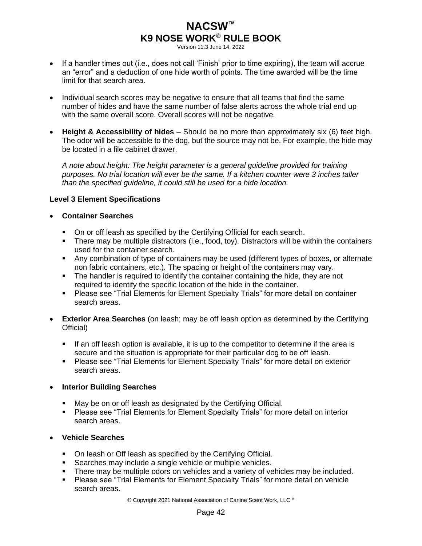Version 11.3 June 14, 2022

- If a handler times out (i.e., does not call 'Finish' prior to time expiring), the team will accrue an "error" and a deduction of one hide worth of points. The time awarded will be the time limit for that search area.
- Individual search scores may be negative to ensure that all teams that find the same number of hides and have the same number of false alerts across the whole trial end up with the same overall score. Overall scores will not be negative.
- **Height & Accessibility of hides** Should be no more than approximately six (6) feet high. The odor will be accessible to the dog, but the source may not be. For example, the hide may be located in a file cabinet drawer.

*A note about height: The height parameter is a general guideline provided for training purposes. No trial location will ever be the same. If a kitchen counter were 3 inches taller than the specified guideline, it could still be used for a hide location.*

### **Level 3 Element Specifications**

### • **Container Searches**

- On or off leash as specified by the Certifying Official for each search.
- **•** There may be multiple distractors (i.e., food, toy). Distractors will be within the containers used for the container search.
- Any combination of type of containers may be used (different types of boxes, or alternate non fabric containers, etc.). The spacing or height of the containers may vary.
- **•** The handler is required to identify the container containing the hide, they are not required to identify the specific location of the hide in the container.
- **Please see "Trial Elements for Element Specialty Trials" for more detail on container** search areas.
- **Exterior Area Searches** (on leash; may be off leash option as determined by the Certifying Official)
	- **.** If an off leash option is available, it is up to the competitor to determine if the area is secure and the situation is appropriate for their particular dog to be off leash.
	- Please see "Trial Elements for Element Specialty Trials" for more detail on exterior search areas.

### **Interior Building Searches**

- May be on or off leash as designated by the Certifying Official.
- Please see "Trial Elements for Element Specialty Trials" for more detail on interior search areas.

### • **Vehicle Searches**

- On leash or Off leash as specified by the Certifying Official.
- Searches may include a single vehicle or multiple vehicles.
- **•** There may be multiple odors on vehicles and a variety of vehicles may be included.
- Please see "Trial Elements for Element Specialty Trials" for more detail on vehicle search areas.

© Copyright 2021 National Association of Canine Scent Work, LLC ®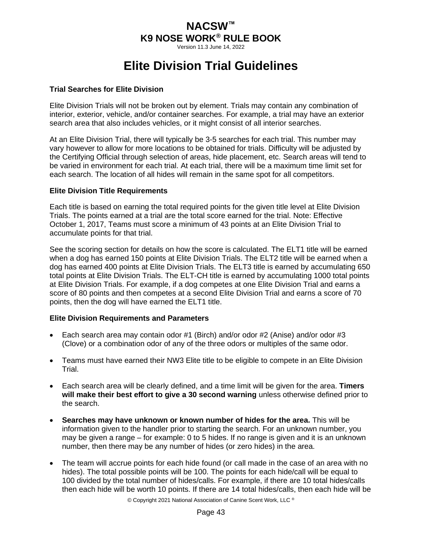Version 11.3 June 14, 2022

# **Elite Division Trial Guidelines**

#### <span id="page-46-0"></span>**Trial Searches for Elite Division**

Elite Division Trials will not be broken out by element. Trials may contain any combination of interior, exterior, vehicle, and/or container searches. For example, a trial may have an exterior search area that also includes vehicles, or it might consist of all interior searches.

At an Elite Division Trial, there will typically be 3-5 searches for each trial. This number may vary however to allow for more locations to be obtained for trials. Difficulty will be adjusted by the Certifying Official through selection of areas, hide placement, etc. Search areas will tend to be varied in environment for each trial. At each trial, there will be a maximum time limit set for each search. The location of all hides will remain in the same spot for all competitors.

#### **Elite Division Title Requirements**

Each title is based on earning the total required points for the given title level at Elite Division Trials. The points earned at a trial are the total score earned for the trial. Note: Effective October 1, 2017, Teams must score a minimum of 43 points at an Elite Division Trial to accumulate points for that trial.

See the scoring section for details on how the score is calculated. The ELT1 title will be earned when a dog has earned 150 points at Elite Division Trials. The ELT2 title will be earned when a dog has earned 400 points at Elite Division Trials. The ELT3 title is earned by accumulating 650 total points at Elite Division Trials. The ELT-CH title is earned by accumulating 1000 total points at Elite Division Trials. For example, if a dog competes at one Elite Division Trial and earns a score of 80 points and then competes at a second Elite Division Trial and earns a score of 70 points, then the dog will have earned the ELT1 title.

### **Elite Division Requirements and Parameters**

- Each search area may contain odor #1 (Birch) and/or odor #2 (Anise) and/or odor #3 (Clove) or a combination odor of any of the three odors or multiples of the same odor.
- Teams must have earned their NW3 Elite title to be eligible to compete in an Elite Division Trial.
- Each search area will be clearly defined, and a time limit will be given for the area. **Timers will make their best effort to give a 30 second warning** unless otherwise defined prior to the search.
- **Searches may have unknown or known number of hides for the area.** This will be information given to the handler prior to starting the search. For an unknown number, you may be given a range – for example: 0 to 5 hides. If no range is given and it is an unknown number, then there may be any number of hides (or zero hides) in the area.
- The team will accrue points for each hide found (or call made in the case of an area with no hides). The total possible points will be 100. The points for each hide/call will be equal to 100 divided by the total number of hides/calls. For example, if there are 10 total hides/calls then each hide will be worth 10 points. If there are 14 total hides/calls, then each hide will be

© Copyright 2021 National Association of Canine Scent Work, LLC ®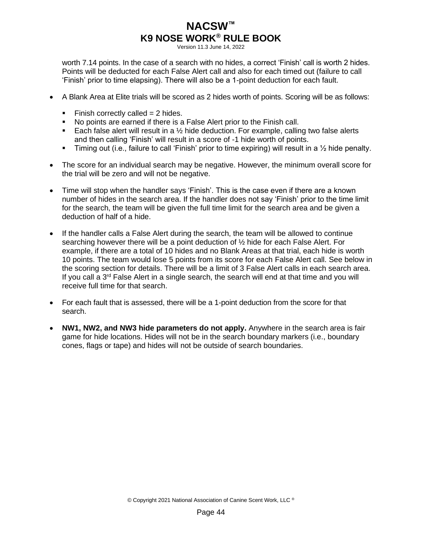Version 11.3 June 14, 2022

worth 7.14 points. In the case of a search with no hides, a correct 'Finish' call is worth 2 hides. Points will be deducted for each False Alert call and also for each timed out (failure to call 'Finish' prior to time elapsing). There will also be a 1-point deduction for each fault.

- A Blank Area at Elite trials will be scored as 2 hides worth of points. Scoring will be as follows:
	- $\blacksquare$  Finish correctly called = 2 hides.
	- No points are earned if there is a False Alert prior to the Finish call.
	- **Each false alert will result in a**  $\frac{1}{2}$  **hide deduction. For example, calling two false alerts** and then calling 'Finish' will result in a score of -1 hide worth of points.
	- **•** Timing out (i.e., failure to call 'Finish' prior to time expiring) will result in a  $\frac{1}{2}$  hide penalty.
- The score for an individual search may be negative. However, the minimum overall score for the trial will be zero and will not be negative.
- Time will stop when the handler says 'Finish'. This is the case even if there are a known number of hides in the search area. If the handler does not say 'Finish' prior to the time limit for the search, the team will be given the full time limit for the search area and be given a deduction of half of a hide.
- If the handler calls a False Alert during the search, the team will be allowed to continue searching however there will be a point deduction of ½ hide for each False Alert. For example, if there are a total of 10 hides and no Blank Areas at that trial, each hide is worth 10 points. The team would lose 5 points from its score for each False Alert call. See below in the scoring section for details. There will be a limit of 3 False Alert calls in each search area. If you call a  $3<sup>rd</sup>$  False Alert in a single search, the search will end at that time and you will receive full time for that search.
- For each fault that is assessed, there will be a 1-point deduction from the score for that search.
- **NW1, NW2, and NW3 hide parameters do not apply.** Anywhere in the search area is fair game for hide locations. Hides will not be in the search boundary markers (i.e., boundary cones, flags or tape) and hides will not be outside of search boundaries.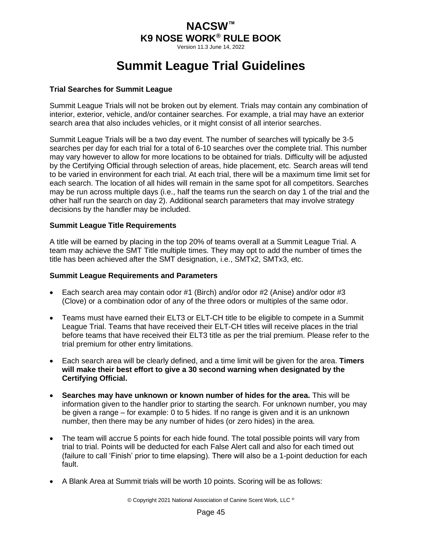Version 11.3 June 14, 2022

# **Summit League Trial Guidelines**

#### <span id="page-48-0"></span>**Trial Searches for Summit League**

Summit League Trials will not be broken out by element. Trials may contain any combination of interior, exterior, vehicle, and/or container searches. For example, a trial may have an exterior search area that also includes vehicles, or it might consist of all interior searches.

Summit League Trials will be a two day event. The number of searches will typically be 3-5 searches per day for each trial for a total of 6-10 searches over the complete trial. This number may vary however to allow for more locations to be obtained for trials. Difficulty will be adjusted by the Certifying Official through selection of areas, hide placement, etc. Search areas will tend to be varied in environment for each trial. At each trial, there will be a maximum time limit set for each search. The location of all hides will remain in the same spot for all competitors. Searches may be run across multiple days (i.e., half the teams run the search on day 1 of the trial and the other half run the search on day 2). Additional search parameters that may involve strategy decisions by the handler may be included.

#### **Summit League Title Requirements**

A title will be earned by placing in the top 20% of teams overall at a Summit League Trial. A team may achieve the SMT Title multiple times. They may opt to add the number of times the title has been achieved after the SMT designation, i.e., SMTx2, SMTx3, etc.

#### **Summit League Requirements and Parameters**

- Each search area may contain odor #1 (Birch) and/or odor #2 (Anise) and/or odor #3 (Clove) or a combination odor of any of the three odors or multiples of the same odor.
- Teams must have earned their ELT3 or ELT-CH title to be eligible to compete in a Summit League Trial. Teams that have received their ELT-CH titles will receive places in the trial before teams that have received their ELT3 title as per the trial premium. Please refer to the trial premium for other entry limitations.
- Each search area will be clearly defined, and a time limit will be given for the area. **Timers will make their best effort to give a 30 second warning when designated by the Certifying Official.**
- **Searches may have unknown or known number of hides for the area.** This will be information given to the handler prior to starting the search. For unknown number, you may be given a range – for example: 0 to 5 hides. If no range is given and it is an unknown number, then there may be any number of hides (or zero hides) in the area.
- The team will accrue 5 points for each hide found. The total possible points will vary from trial to trial. Points will be deducted for each False Alert call and also for each timed out (failure to call 'Finish' prior to time elapsing). There will also be a 1-point deduction for each fault.
- A Blank Area at Summit trials will be worth 10 points. Scoring will be as follows: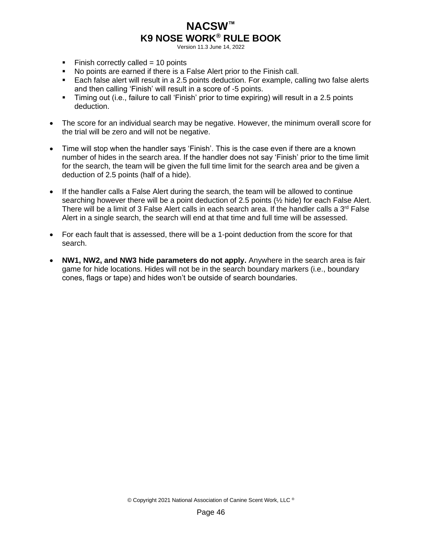Version 11.3 June 14, 2022

- $\blacksquare$  Finish correctly called = 10 points
- No points are earned if there is a False Alert prior to the Finish call.
- Each false alert will result in a 2.5 points deduction. For example, calling two false alerts and then calling 'Finish' will result in a score of -5 points.
- Timing out (i.e., failure to call 'Finish' prior to time expiring) will result in a 2.5 points deduction.
- The score for an individual search may be negative. However, the minimum overall score for the trial will be zero and will not be negative.
- Time will stop when the handler says 'Finish'. This is the case even if there are a known number of hides in the search area. If the handler does not say 'Finish' prior to the time limit for the search, the team will be given the full time limit for the search area and be given a deduction of 2.5 points (half of a hide).
- If the handler calls a False Alert during the search, the team will be allowed to continue searching however there will be a point deduction of 2.5 points (½ hide) for each False Alert. There will be a limit of 3 False Alert calls in each search area. If the handler calls a 3<sup>rd</sup> False Alert in a single search, the search will end at that time and full time will be assessed.
- For each fault that is assessed, there will be a 1-point deduction from the score for that search.
- **NW1, NW2, and NW3 hide parameters do not apply.** Anywhere in the search area is fair game for hide locations. Hides will not be in the search boundary markers (i.e., boundary cones, flags or tape) and hides won't be outside of search boundaries.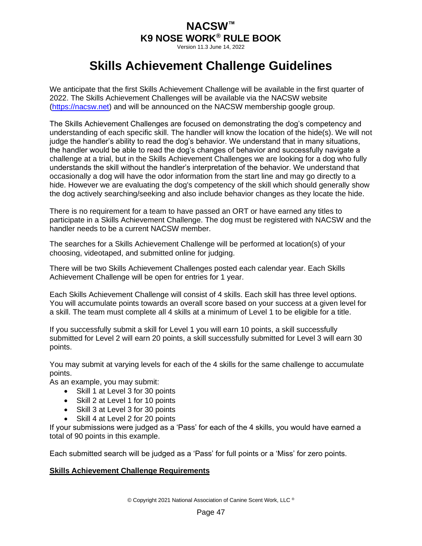Version 11.3 June 14, 2022

# **Skills Achievement Challenge Guidelines**

<span id="page-50-0"></span>We anticipate that the first Skills Achievement Challenge will be available in the first quarter of 2022. The Skills Achievement Challenges will be available via the NACSW website [\(https://nacsw.net\)](https://nacsw.net/) and will be announced on the NACSW membership google group.

The Skills Achievement Challenges are focused on demonstrating the dog's competency and understanding of each specific skill. The handler will know the location of the hide(s). We will not judge the handler's ability to read the dog's behavior. We understand that in many situations, the handler would be able to read the dog's changes of behavior and successfully navigate a challenge at a trial, but in the Skills Achievement Challenges we are looking for a dog who fully understands the skill without the handler's interpretation of the behavior. We understand that occasionally a dog will have the odor information from the start line and may go directly to a hide. However we are evaluating the dog's competency of the skill which should generally show the dog actively searching/seeking and also include behavior changes as they locate the hide.

There is no requirement for a team to have passed an ORT or have earned any titles to participate in a Skills Achievement Challenge. The dog must be registered with NACSW and the handler needs to be a current NACSW member.

The searches for a Skills Achievement Challenge will be performed at location(s) of your choosing, videotaped, and submitted online for judging.

There will be two Skills Achievement Challenges posted each calendar year. Each Skills Achievement Challenge will be open for entries for 1 year.

Each Skills Achievement Challenge will consist of 4 skills. Each skill has three level options. You will accumulate points towards an overall score based on your success at a given level for a skill. The team must complete all 4 skills at a minimum of Level 1 to be eligible for a title.

If you successfully submit a skill for Level 1 you will earn 10 points, a skill successfully submitted for Level 2 will earn 20 points, a skill successfully submitted for Level 3 will earn 30 points.

You may submit at varying levels for each of the 4 skills for the same challenge to accumulate points.

As an example, you may submit:

- Skill 1 at Level 3 for 30 points
- Skill 2 at Level 1 for 10 points
- Skill 3 at Level 3 for 30 points
- Skill 4 at Level 2 for 20 points

If your submissions were judged as a 'Pass' for each of the 4 skills, you would have earned a total of 90 points in this example.

Each submitted search will be judged as a 'Pass' for full points or a 'Miss' for zero points.

#### **Skills Achievement Challenge Requirements**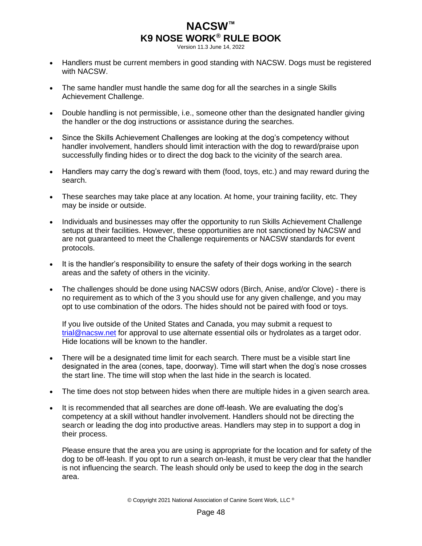Version 11.3 June 14, 2022

- Handlers must be current members in good standing with NACSW. Dogs must be registered with NACSW.
- The same handler must handle the same dog for all the searches in a single Skills Achievement Challenge.
- Double handling is not permissible, i.e., someone other than the designated handler giving the handler or the dog instructions or assistance during the searches.
- Since the Skills Achievement Challenges are looking at the dog's competency without handler involvement, handlers should limit interaction with the dog to reward/praise upon successfully finding hides or to direct the dog back to the vicinity of the search area.
- Handlers may carry the dog's reward with them (food, toys, etc.) and may reward during the search.
- These searches may take place at any location. At home, your training facility, etc. They may be inside or outside.
- Individuals and businesses may offer the opportunity to run Skills Achievement Challenge setups at their facilities. However, these opportunities are not sanctioned by NACSW and are not guaranteed to meet the Challenge requirements or NACSW standards for event protocols.
- It is the handler's responsibility to ensure the safety of their dogs working in the search areas and the safety of others in the vicinity.
- The challenges should be done using NACSW odors (Birch, Anise, and/or Clove) there is no requirement as to which of the 3 you should use for any given challenge, and you may opt to use combination of the odors. The hides should not be paired with food or toys.

If you live outside of the United States and Canada, you may submit a request to [trial@nacsw.net](mailto:trial@nacsw.net) for approval to use alternate essential oils or hydrolates as a target odor. Hide locations will be known to the handler.

- There will be a designated time limit for each search. There must be a visible start line designated in the area (cones, tape, doorway). Time will start when the dog's nose crosses the start line. The time will stop when the last hide in the search is located.
- The time does not stop between hides when there are multiple hides in a given search area.
- It is recommended that all searches are done off-leash. We are evaluating the dog's competency at a skill without handler involvement. Handlers should not be directing the search or leading the dog into productive areas. Handlers may step in to support a dog in their process.

Please ensure that the area you are using is appropriate for the location and for safety of the dog to be off-leash. If you opt to run a search on-leash, it must be very clear that the handler is not influencing the search. The leash should only be used to keep the dog in the search area.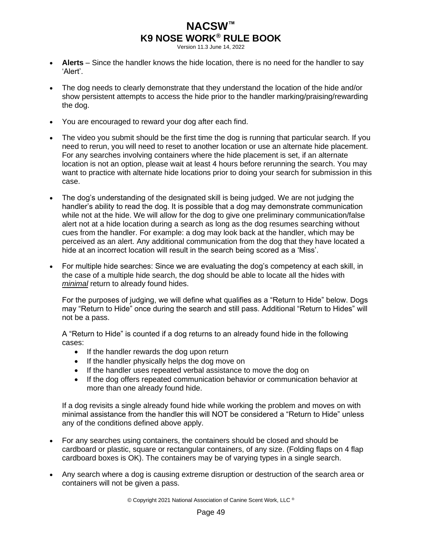Version 11.3 June 14, 2022

- **Alerts** Since the handler knows the hide location, there is no need for the handler to say 'Alert'.
- The dog needs to clearly demonstrate that they understand the location of the hide and/or show persistent attempts to access the hide prior to the handler marking/praising/rewarding the dog.
- You are encouraged to reward your dog after each find.
- The video you submit should be the first time the dog is running that particular search. If you need to rerun, you will need to reset to another location or use an alternate hide placement. For any searches involving containers where the hide placement is set, if an alternate location is not an option, please wait at least 4 hours before rerunning the search. You may want to practice with alternate hide locations prior to doing your search for submission in this case.
- The dog's understanding of the designated skill is being judged. We are not judging the handler's ability to read the dog. It is possible that a dog may demonstrate communication while not at the hide. We will allow for the dog to give one preliminary communication/false alert not at a hide location during a search as long as the dog resumes searching without cues from the handler. For example: a dog may look back at the handler, which may be perceived as an alert. Any additional communication from the dog that they have located a hide at an incorrect location will result in the search being scored as a 'Miss'.
- For multiple hide searches: Since we are evaluating the dog's competency at each skill, in the case of a multiple hide search, the dog should be able to locate all the hides with *minimal* return to already found hides.

For the purposes of judging, we will define what qualifies as a "Return to Hide" below. Dogs may "Return to Hide" once during the search and still pass. Additional "Return to Hides" will not be a pass.

A "Return to Hide" is counted if a dog returns to an already found hide in the following cases:

- If the handler rewards the dog upon return
- If the handler physically helps the dog move on
- If the handler uses repeated verbal assistance to move the dog on
- If the dog offers repeated communication behavior or communication behavior at more than one already found hide.

If a dog revisits a single already found hide while working the problem and moves on with minimal assistance from the handler this will NOT be considered a "Return to Hide" unless any of the conditions defined above apply.

- For any searches using containers, the containers should be closed and should be cardboard or plastic, square or rectangular containers, of any size. (Folding flaps on 4 flap cardboard boxes is OK). The containers may be of varying types in a single search.
- Any search where a dog is causing extreme disruption or destruction of the search area or containers will not be given a pass.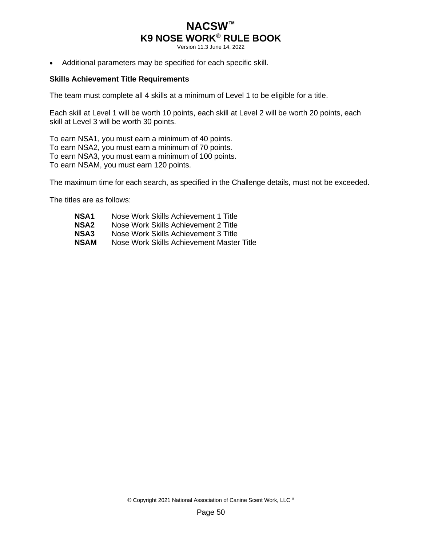Version 11.3 June 14, 2022

• Additional parameters may be specified for each specific skill.

#### **Skills Achievement Title Requirements**

The team must complete all 4 skills at a minimum of Level 1 to be eligible for a title.

Each skill at Level 1 will be worth 10 points, each skill at Level 2 will be worth 20 points, each skill at Level 3 will be worth 30 points.

To earn NSA1, you must earn a minimum of 40 points. To earn NSA2, you must earn a minimum of 70 points. To earn NSA3, you must earn a minimum of 100 points. To earn NSAM, you must earn 120 points.

The maximum time for each search, as specified in the Challenge details, must not be exceeded.

The titles are as follows:

**NSA1** Nose Work Skills Achievement 1 Title<br> **NSA2** Nose Work Skills Achievement 2 Title **Nose Work Skills Achievement 2 Title NSA3** Nose Work Skills Achievement 3 Title **NSAM** Nose Work Skills Achievement Master Title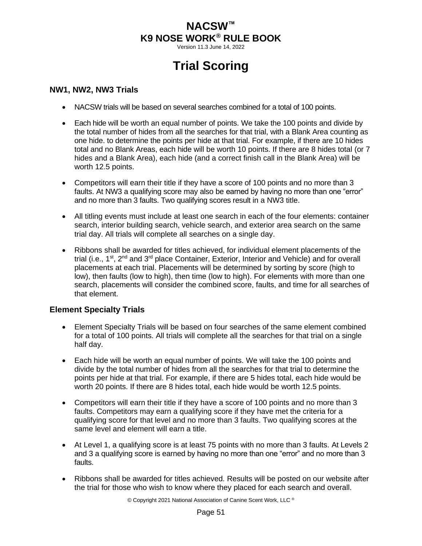Version 11.3 June 14, 2022

# **Trial Scoring**

#### <span id="page-54-1"></span><span id="page-54-0"></span>**NW1, NW2, NW3 Trials**

- NACSW trials will be based on several searches combined for a total of 100 points.
- Each hide will be worth an equal number of points. We take the 100 points and divide by the total number of hides from all the searches for that trial, with a Blank Area counting as one hide. to determine the points per hide at that trial. For example, if there are 10 hides total and no Blank Areas, each hide will be worth 10 points. If there are 8 hides total (or 7 hides and a Blank Area), each hide (and a correct finish call in the Blank Area) will be worth 12.5 points.
- Competitors will earn their title if they have a score of 100 points and no more than 3 faults. At NW3 a qualifying score may also be earned by having no more than one "error" and no more than 3 faults. Two qualifying scores result in a NW3 title.
- All titling events must include at least one search in each of the four elements: container search, interior building search, vehicle search, and exterior area search on the same trial day. All trials will complete all searches on a single day.
- Ribbons shall be awarded for titles achieved, for individual element placements of the trial (i.e., 1<sup>st</sup>, 2<sup>nd</sup> and 3<sup>rd</sup> place Container, Exterior, Interior and Vehicle) and for overall placements at each trial. Placements will be determined by sorting by score (high to low), then faults (low to high), then time (low to high). For elements with more than one search, placements will consider the combined score, faults, and time for all searches of that element.

### <span id="page-54-2"></span>**Element Specialty Trials**

- Element Specialty Trials will be based on four searches of the same element combined for a total of 100 points. All trials will complete all the searches for that trial on a single half day.
- Each hide will be worth an equal number of points. We will take the 100 points and divide by the total number of hides from all the searches for that trial to determine the points per hide at that trial. For example, if there are 5 hides total, each hide would be worth 20 points. If there are 8 hides total, each hide would be worth 12.5 points.
- Competitors will earn their title if they have a score of 100 points and no more than 3 faults. Competitors may earn a qualifying score if they have met the criteria for a qualifying score for that level and no more than 3 faults. Two qualifying scores at the same level and element will earn a title.
- At Level 1, a qualifying score is at least 75 points with no more than 3 faults. At Levels 2 and 3 a qualifying score is earned by having no more than one "error" and no more than 3 faults.
- Ribbons shall be awarded for titles achieved. Results will be posted on our website after the trial for those who wish to know where they placed for each search and overall.

© Copyright 2021 National Association of Canine Scent Work, LLC ®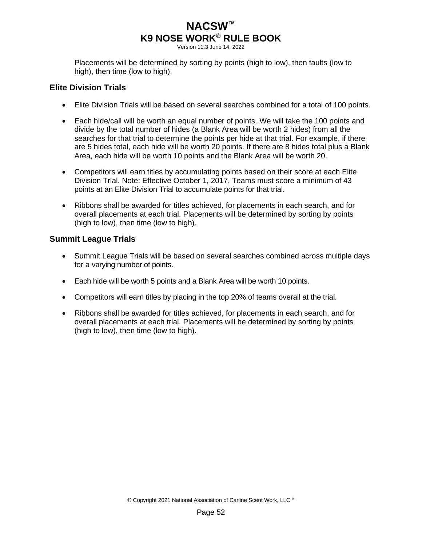Version 11.3 June 14, 2022

Placements will be determined by sorting by points (high to low), then faults (low to high), then time (low to high).

### <span id="page-55-0"></span>**Elite Division Trials**

- Elite Division Trials will be based on several searches combined for a total of 100 points.
- Each hide/call will be worth an equal number of points. We will take the 100 points and divide by the total number of hides (a Blank Area will be worth 2 hides) from all the searches for that trial to determine the points per hide at that trial. For example, if there are 5 hides total, each hide will be worth 20 points. If there are 8 hides total plus a Blank Area, each hide will be worth 10 points and the Blank Area will be worth 20.
- Competitors will earn titles by accumulating points based on their score at each Elite Division Trial. Note: Effective October 1, 2017, Teams must score a minimum of 43 points at an Elite Division Trial to accumulate points for that trial.
- Ribbons shall be awarded for titles achieved, for placements in each search, and for overall placements at each trial. Placements will be determined by sorting by points (high to low), then time (low to high).

### <span id="page-55-1"></span>**Summit League Trials**

- Summit League Trials will be based on several searches combined across multiple days for a varying number of points.
- Each hide will be worth 5 points and a Blank Area will be worth 10 points.
- Competitors will earn titles by placing in the top 20% of teams overall at the trial.
- Ribbons shall be awarded for titles achieved, for placements in each search, and for overall placements at each trial. Placements will be determined by sorting by points (high to low), then time (low to high).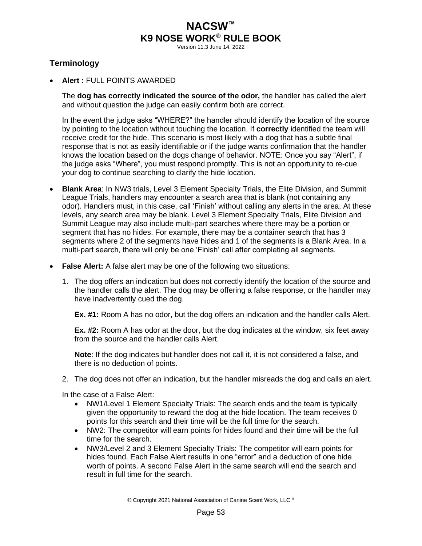Version 11.3 June 14, 2022

## <span id="page-56-0"></span>**Terminology**

• **Alert :** FULL POINTS AWARDED

The **dog has correctly indicated the source of the odor,** the handler has called the alert and without question the judge can easily confirm both are correct.

In the event the judge asks "WHERE?" the handler should identify the location of the source by pointing to the location without touching the location. If **correctly** identified the team will receive credit for the hide. This scenario is most likely with a dog that has a subtle final response that is not as easily identifiable or if the judge wants confirmation that the handler knows the location based on the dogs change of behavior. NOTE: Once you say "Alert", if the judge asks "Where", you must respond promptly. This is not an opportunity to re-cue your dog to continue searching to clarify the hide location.

- **Blank Area**: In NW3 trials, Level 3 Element Specialty Trials, the Elite Division, and Summit League Trials, handlers may encounter a search area that is blank (not containing any odor). Handlers must, in this case, call 'Finish' without calling any alerts in the area. At these levels, any search area may be blank. Level 3 Element Specialty Trials, Elite Division and Summit League may also include multi-part searches where there may be a portion or segment that has no hides. For example, there may be a container search that has 3 segments where 2 of the segments have hides and 1 of the segments is a Blank Area. In a multi-part search, there will only be one 'Finish' call after completing all segments.
- **False Alert:** A false alert may be one of the following two situations:
	- 1. The dog offers an indication but does not correctly identify the location of the source and the handler calls the alert. The dog may be offering a false response, or the handler may have inadvertently cued the dog.

**Ex. #1:** Room A has no odor, but the dog offers an indication and the handler calls Alert.

**Ex. #2:** Room A has odor at the door, but the dog indicates at the window, six feet away from the source and the handler calls Alert.

**Note**: If the dog indicates but handler does not call it, it is not considered a false, and there is no deduction of points.

2. The dog does not offer an indication, but the handler misreads the dog and calls an alert.

In the case of a False Alert:

- NW1/Level 1 Element Specialty Trials: The search ends and the team is typically given the opportunity to reward the dog at the hide location. The team receives 0 points for this search and their time will be the full time for the search.
- NW2: The competitor will earn points for hides found and their time will be the full time for the search.
- NW3/Level 2 and 3 Element Specialty Trials: The competitor will earn points for hides found. Each False Alert results in one "error" and a deduction of one hide worth of points. A second False Alert in the same search will end the search and result in full time for the search.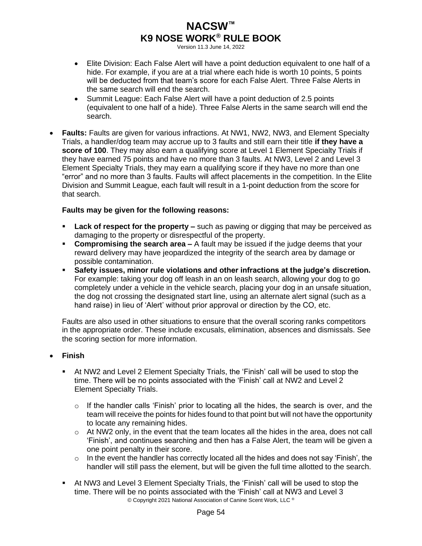Version 11.3 June 14, 2022

- Elite Division: Each False Alert will have a point deduction equivalent to one half of a hide. For example, if you are at a trial where each hide is worth 10 points, 5 points will be deducted from that team's score for each False Alert. Three False Alerts in the same search will end the search.
- Summit League: Each False Alert will have a point deduction of 2.5 points (equivalent to one half of a hide). Three False Alerts in the same search will end the search.
- **Faults:** Faults are given for various infractions. At NW1, NW2, NW3, and Element Specialty Trials, a handler/dog team may accrue up to 3 faults and still earn their title **if they have a score of 100**. They may also earn a qualifying score at Level 1 Element Specialty Trials if they have earned 75 points and have no more than 3 faults. At NW3, Level 2 and Level 3 Element Specialty Trials, they may earn a qualifying score if they have no more than one "error" and no more than 3 faults. Faults will affect placements in the competition. In the Elite Division and Summit League, each fault will result in a 1-point deduction from the score for that search.

### **Faults may be given for the following reasons:**

- **Lack of respect for the property –** such as pawing or digging that may be perceived as damaging to the property or disrespectful of the property.
- **Compromising the search area –** A fault may be issued if the judge deems that your reward delivery may have jeopardized the integrity of the search area by damage or possible contamination.
- Safety issues, minor rule violations and other infractions at the judge's discretion. For example: taking your dog off leash in an on leash search, allowing your dog to go completely under a vehicle in the vehicle search, placing your dog in an unsafe situation, the dog not crossing the designated start line, using an alternate alert signal (such as a hand raise) in lieu of 'Alert' without prior approval or direction by the CO, etc.

Faults are also used in other situations to ensure that the overall scoring ranks competitors in the appropriate order. These include excusals, elimination, absences and dismissals. See the scoring section for more information.

### • **Finish**

- At NW2 and Level 2 Element Specialty Trials, the 'Finish' call will be used to stop the time. There will be no points associated with the 'Finish' call at NW2 and Level 2 Element Specialty Trials.
	- $\circ$  If the handler calls 'Finish' prior to locating all the hides, the search is over, and the team will receive the points for hides found to that point but will not have the opportunity to locate any remaining hides.
	- o At NW2 only, in the event that the team locates all the hides in the area, does not call 'Finish', and continues searching and then has a False Alert, the team will be given a one point penalty in their score.
	- $\circ$  In the event the handler has correctly located all the hides and does not say 'Finish', the handler will still pass the element, but will be given the full time allotted to the search.
- © Copyright 2021 National Association of Canine Scent Work, LLC ® ▪ At NW3 and Level 3 Element Specialty Trials, the 'Finish' call will be used to stop the time. There will be no points associated with the 'Finish' call at NW3 and Level 3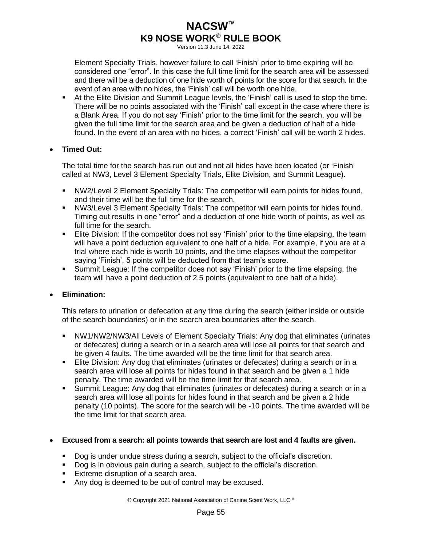Version 11.3 June 14, 2022

Element Specialty Trials, however failure to call 'Finish' prior to time expiring will be considered one "error". In this case the full time limit for the search area will be assessed and there will be a deduction of one hide worth of points for the score for that search. In the event of an area with no hides, the 'Finish' call will be worth one hide.

▪ At the Elite Division and Summit League levels, the 'Finish' call is used to stop the time. There will be no points associated with the 'Finish' call except in the case where there is a Blank Area. If you do not say 'Finish' prior to the time limit for the search, you will be given the full time limit for the search area and be given a deduction of half of a hide found. In the event of an area with no hides, a correct 'Finish' call will be worth 2 hides.

### • **Timed Out:**

The total time for the search has run out and not all hides have been located (or 'Finish' called at NW3, Level 3 Element Specialty Trials, Elite Division, and Summit League).

- **NW2/Level 2 Element Specialty Trials: The competitor will earn points for hides found,** and their time will be the full time for the search.
- **NW3/Level 3 Element Specialty Trials: The competitor will earn points for hides found.** Timing out results in one "error" and a deduction of one hide worth of points, as well as full time for the search.
- **E** Elite Division: If the competitor does not say 'Finish' prior to the time elapsing, the team will have a point deduction equivalent to one half of a hide. For example, if you are at a trial where each hide is worth 10 points, and the time elapses without the competitor saying 'Finish', 5 points will be deducted from that team's score.
- Summit League: If the competitor does not say 'Finish' prior to the time elapsing, the team will have a point deduction of 2.5 points (equivalent to one half of a hide).

### • **Elimination:**

This refers to urination or defecation at any time during the search (either inside or outside of the search boundaries) or in the search area boundaries after the search.

- **NW1/NW2/NW3/All Levels of Element Specialty Trials: Any dog that eliminates (urinates)** or defecates) during a search or in a search area will lose all points for that search and be given 4 faults. The time awarded will be the time limit for that search area.
- **Elite Division: Any dog that eliminates (urinates or defecates) during a search or in a** search area will lose all points for hides found in that search and be given a 1 hide penalty. The time awarded will be the time limit for that search area.
- Summit League: Any dog that eliminates (urinates or defecates) during a search or in a search area will lose all points for hides found in that search and be given a 2 hide penalty (10 points). The score for the search will be -10 points. The time awarded will be the time limit for that search area.

#### • **Excused from a search: all points towards that search are lost and 4 faults are given.**

- Dog is under undue stress during a search, subject to the official's discretion.
- Dog is in obvious pain during a search, subject to the official's discretion.
- **Extreme disruption of a search area.**
- Any dog is deemed to be out of control may be excused.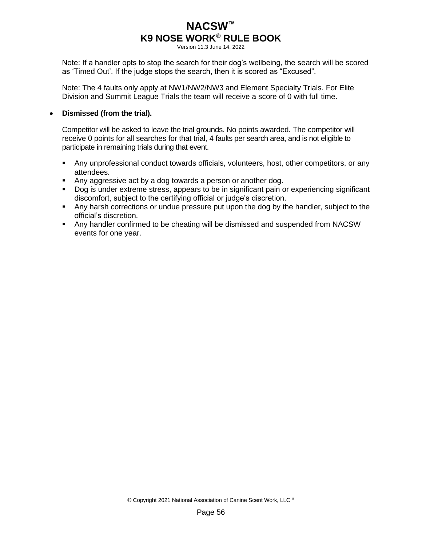Version 11.3 June 14, 2022

Note: If a handler opts to stop the search for their dog's wellbeing, the search will be scored as 'Timed Out'. If the judge stops the search, then it is scored as "Excused".

Note: The 4 faults only apply at NW1/NW2/NW3 and Element Specialty Trials. For Elite Division and Summit League Trials the team will receive a score of 0 with full time.

#### • **Dismissed (from the trial).**

Competitor will be asked to leave the trial grounds. No points awarded. The competitor will receive 0 points for all searches for that trial, 4 faults per search area, and is not eligible to participate in remaining trials during that event.

- Any unprofessional conduct towards officials, volunteers, host, other competitors, or any attendees.
- Any aggressive act by a dog towards a person or another dog.
- Dog is under extreme stress, appears to be in significant pain or experiencing significant discomfort, subject to the certifying official or judge's discretion.
- Any harsh corrections or undue pressure put upon the dog by the handler, subject to the official's discretion.
- Any handler confirmed to be cheating will be dismissed and suspended from NACSW events for one year.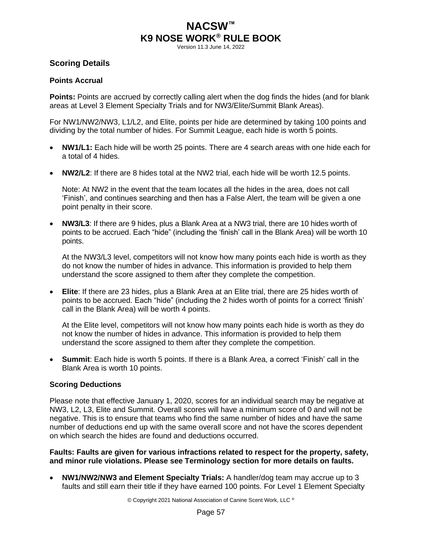Version 11.3 June 14, 2022

### <span id="page-60-0"></span>**Scoring Details**

#### **Points Accrual**

**Points:** Points are accrued by correctly calling alert when the dog finds the hides (and for blank areas at Level 3 Element Specialty Trials and for NW3/Elite/Summit Blank Areas).

For NW1/NW2/NW3, L1/L2, and Elite, points per hide are determined by taking 100 points and dividing by the total number of hides. For Summit League, each hide is worth 5 points.

- **NW1/L1:** Each hide will be worth 25 points. There are 4 search areas with one hide each for a total of 4 hides.
- **NW2/L2**: If there are 8 hides total at the NW2 trial, each hide will be worth 12.5 points.

Note: At NW2 in the event that the team locates all the hides in the area, does not call 'Finish', and continues searching and then has a False Alert, the team will be given a one point penalty in their score.

• **NW3/L3**: If there are 9 hides, plus a Blank Area at a NW3 trial, there are 10 hides worth of points to be accrued. Each "hide" (including the 'finish' call in the Blank Area) will be worth 10 points.

At the NW3/L3 level, competitors will not know how many points each hide is worth as they do not know the number of hides in advance. This information is provided to help them understand the score assigned to them after they complete the competition.

• **Elite**: If there are 23 hides, plus a Blank Area at an Elite trial, there are 25 hides worth of points to be accrued. Each "hide" (including the 2 hides worth of points for a correct 'finish' call in the Blank Area) will be worth 4 points.

At the Elite level, competitors will not know how many points each hide is worth as they do not know the number of hides in advance. This information is provided to help them understand the score assigned to them after they complete the competition.

• **Summit**: Each hide is worth 5 points. If there is a Blank Area, a correct 'Finish' call in the Blank Area is worth 10 points.

### **Scoring Deductions**

Please note that effective January 1, 2020, scores for an individual search may be negative at NW3, L2, L3, Elite and Summit. Overall scores will have a minimum score of 0 and will not be negative. This is to ensure that teams who find the same number of hides and have the same number of deductions end up with the same overall score and not have the scores dependent on which search the hides are found and deductions occurred.

**Faults: Faults are given for various infractions related to respect for the property, safety, and minor rule violations. Please see Terminology section for more details on faults.** 

• **NW1/NW2/NW3 and Element Specialty Trials:** A handler/dog team may accrue up to 3 faults and still earn their title if they have earned 100 points. For Level 1 Element Specialty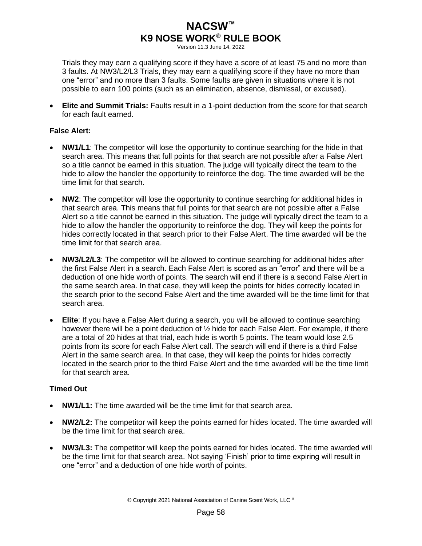Version 11.3 June 14, 2022

Trials they may earn a qualifying score if they have a score of at least 75 and no more than 3 faults. At NW3/L2/L3 Trials, they may earn a qualifying score if they have no more than one "error" and no more than 3 faults. Some faults are given in situations where it is not possible to earn 100 points (such as an elimination, absence, dismissal, or excused).

• **Elite and Summit Trials:** Faults result in a 1-point deduction from the score for that search for each fault earned.

### **False Alert:**

- **NW1/L1**: The competitor will lose the opportunity to continue searching for the hide in that search area. This means that full points for that search are not possible after a False Alert so a title cannot be earned in this situation. The judge will typically direct the team to the hide to allow the handler the opportunity to reinforce the dog. The time awarded will be the time limit for that search.
- **NW2**: The competitor will lose the opportunity to continue searching for additional hides in that search area. This means that full points for that search are not possible after a False Alert so a title cannot be earned in this situation. The judge will typically direct the team to a hide to allow the handler the opportunity to reinforce the dog. They will keep the points for hides correctly located in that search prior to their False Alert. The time awarded will be the time limit for that search area.
- **NW3/L2/L3**: The competitor will be allowed to continue searching for additional hides after the first False Alert in a search. Each False Alert is scored as an "error" and there will be a deduction of one hide worth of points. The search will end if there is a second False Alert in the same search area. In that case, they will keep the points for hides correctly located in the search prior to the second False Alert and the time awarded will be the time limit for that search area.
- **Elite**: If you have a False Alert during a search, you will be allowed to continue searching however there will be a point deduction of ½ hide for each False Alert. For example, if there are a total of 20 hides at that trial, each hide is worth 5 points. The team would lose 2.5 points from its score for each False Alert call. The search will end if there is a third False Alert in the same search area. In that case, they will keep the points for hides correctly located in the search prior to the third False Alert and the time awarded will be the time limit for that search area.

### **Timed Out**

- **NW1/L1:** The time awarded will be the time limit for that search area.
- **NW2/L2:** The competitor will keep the points earned for hides located. The time awarded will be the time limit for that search area.
- **NW3/L3:** The competitor will keep the points earned for hides located. The time awarded will be the time limit for that search area. Not saying 'Finish' prior to time expiring will result in one "error" and a deduction of one hide worth of points.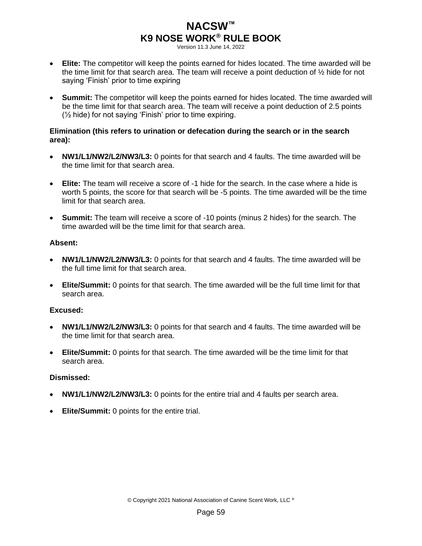Version 11.3 June 14, 2022

- **Elite:** The competitor will keep the points earned for hides located. The time awarded will be the time limit for that search area. The team will receive a point deduction of ½ hide for not saying 'Finish' prior to time expiring
- **Summit:** The competitor will keep the points earned for hides located. The time awarded will be the time limit for that search area. The team will receive a point deduction of 2.5 points (½ hide) for not saying 'Finish' prior to time expiring.

#### **Elimination (this refers to urination or defecation during the search or in the search area):**

- **NW1/L1/NW2/L2/NW3/L3:** 0 points for that search and 4 faults. The time awarded will be the time limit for that search area.
- **Elite:** The team will receive a score of -1 hide for the search. In the case where a hide is worth 5 points, the score for that search will be -5 points. The time awarded will be the time limit for that search area.
- **Summit:** The team will receive a score of -10 points (minus 2 hides) for the search. The time awarded will be the time limit for that search area.

#### **Absent:**

- **NW1/L1/NW2/L2/NW3/L3:** 0 points for that search and 4 faults. The time awarded will be the full time limit for that search area.
- **Elite/Summit:** 0 points for that search. The time awarded will be the full time limit for that search area.

#### **Excused:**

- **NW1/L1/NW2/L2/NW3/L3:** 0 points for that search and 4 faults. The time awarded will be the time limit for that search area.
- **Elite/Summit:** 0 points for that search. The time awarded will be the time limit for that search area.

#### **Dismissed:**

- **NW1/L1/NW2/L2/NW3/L3:** 0 points for the entire trial and 4 faults per search area.
- **Elite/Summit:** 0 points for the entire trial.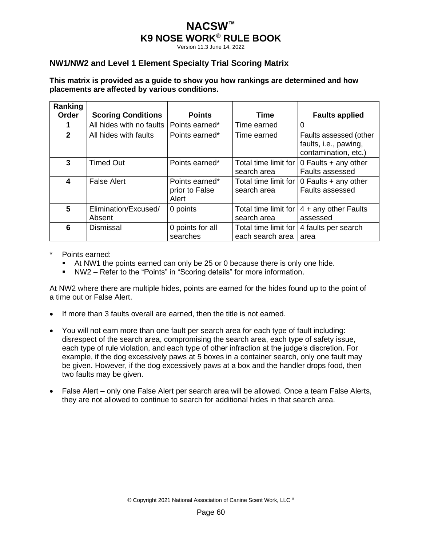Version 11.3 June 14, 2022

### <span id="page-63-0"></span>**NW1/NW2 and Level 1 Element Specialty Trial Scoring Matrix**

#### **This matrix is provided as a guide to show you how rankings are determined and how placements are affected by various conditions.**

| Ranking<br>Order | <b>Scoring Conditions</b>      | <b>Points</b>                             | Time                                     | <b>Faults applied</b>                                                   |
|------------------|--------------------------------|-------------------------------------------|------------------------------------------|-------------------------------------------------------------------------|
|                  | All hides with no faults       | Points earned*                            | Time earned                              | 0                                                                       |
| $\mathbf{2}$     | All hides with faults          | Points earned*                            | Time earned                              | Faults assessed (other<br>faults, i.e., pawing,<br>contamination, etc.) |
| 3                | <b>Timed Out</b>               | Points earned*                            | Total time limit for<br>search area      | 0 Faults $+$ any other<br>Faults assessed                               |
| 4                | <b>False Alert</b>             | Points earned*<br>prior to False<br>Alert | Total time limit for<br>search area      | 0 Faults $+$ any other<br>Faults assessed                               |
| 5                | Elimination/Excused/<br>Absent | 0 points                                  | Total time limit for<br>search area      | 4 + any other Faults<br>assessed                                        |
| 6                | <b>Dismissal</b>               | 0 points for all<br>searches              | Total time limit for<br>each search area | 4 faults per search<br>area                                             |

- Points earned:
	- At NW1 the points earned can only be 25 or 0 because there is only one hide.
	- NW2 Refer to the "Points" in "Scoring details" for more information.

At NW2 where there are multiple hides, points are earned for the hides found up to the point of a time out or False Alert.

- If more than 3 faults overall are earned, then the title is not earned.
- You will not earn more than one fault per search area for each type of fault including: disrespect of the search area, compromising the search area, each type of safety issue, each type of rule violation, and each type of other infraction at the judge's discretion. For example, if the dog excessively paws at 5 boxes in a container search, only one fault may be given. However, if the dog excessively paws at a box and the handler drops food, then two faults may be given.
- False Alert only one False Alert per search area will be allowed. Once a team False Alerts, they are not allowed to continue to search for additional hides in that search area.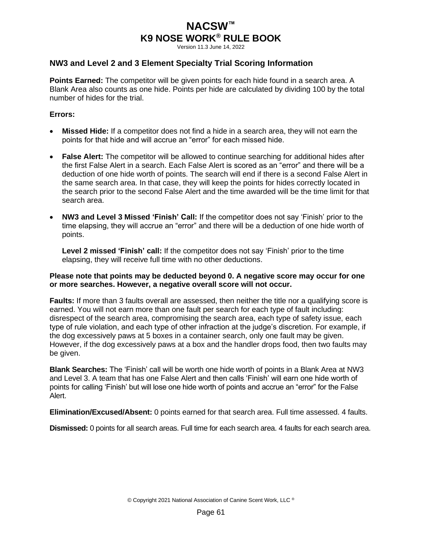Version 11.3 June 14, 2022

### <span id="page-64-0"></span>**NW3 and Level 2 and 3 Element Specialty Trial Scoring Information**

**Points Earned:** The competitor will be given points for each hide found in a search area. A Blank Area also counts as one hide. Points per hide are calculated by dividing 100 by the total number of hides for the trial.

#### **Errors:**

- **Missed Hide:** If a competitor does not find a hide in a search area, they will not earn the points for that hide and will accrue an "error" for each missed hide.
- **False Alert:** The competitor will be allowed to continue searching for additional hides after the first False Alert in a search. Each False Alert is scored as an "error" and there will be a deduction of one hide worth of points. The search will end if there is a second False Alert in the same search area. In that case, they will keep the points for hides correctly located in the search prior to the second False Alert and the time awarded will be the time limit for that search area.
- **NW3 and Level 3 Missed 'Finish' Call:** If the competitor does not say 'Finish' prior to the time elapsing, they will accrue an "error" and there will be a deduction of one hide worth of points.

**Level 2 missed 'Finish' call:** If the competitor does not say 'Finish' prior to the time elapsing, they will receive full time with no other deductions.

#### **Please note that points may be deducted beyond 0. A negative score may occur for one or more searches. However, a negative overall score will not occur.**

**Faults:** If more than 3 faults overall are assessed, then neither the title nor a qualifying score is earned. You will not earn more than one fault per search for each type of fault including: disrespect of the search area, compromising the search area, each type of safety issue, each type of rule violation, and each type of other infraction at the judge's discretion. For example, if the dog excessively paws at 5 boxes in a container search, only one fault may be given. However, if the dog excessively paws at a box and the handler drops food, then two faults may be given.

**Blank Searches:** The 'Finish' call will be worth one hide worth of points in a Blank Area at NW3 and Level 3. A team that has one False Alert and then calls 'Finish' will earn one hide worth of points for calling 'Finish' but will lose one hide worth of points and accrue an "error" for the False Alert.

**Elimination/Excused/Absent:** 0 points earned for that search area. Full time assessed. 4 faults.

**Dismissed:** 0 points for all search areas. Full time for each search area. 4 faults for each search area.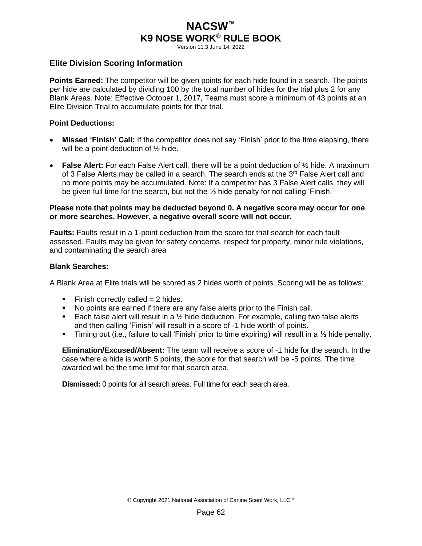Version 11.3 June 14, 2022

#### <span id="page-65-0"></span>**Elite Division Scoring Information**

**Points Earned:** The competitor will be given points for each hide found in a search. The points per hide are calculated by dividing 100 by the total number of hides for the trial plus 2 for any Blank Areas. Note: Effective October 1, 2017, Teams must score a minimum of 43 points at an Elite Division Trial to accumulate points for that trial.

#### **Point Deductions:**

- **Missed 'Finish' Call:** If the competitor does not say 'Finish' prior to the time elapsing, there will be a point deduction of  $\frac{1}{2}$  hide.
- **False Alert:** For each False Alert call, there will be a point deduction of ½ hide. A maximum of 3 False Alerts may be called in a search. The search ends at the  $3<sup>rd</sup>$  False Alert call and no more points may be accumulated. Note: If a competitor has 3 False Alert calls, they will be given full time for the search, but not the  $\frac{1}{2}$  hide penalty for not calling 'Finish.'

#### **Please note that points may be deducted beyond 0. A negative score may occur for one or more searches. However, a negative overall score will not occur.**

**Faults:** Faults result in a 1-point deduction from the score for that search for each fault assessed. Faults may be given for safety concerns, respect for property, minor rule violations, and contaminating the search area

#### **Blank Searches:**

A Blank Area at Elite trials will be scored as 2 hides worth of points. Scoring will be as follows:

- $\blacksquare$  Finish correctly called = 2 hides.
- No points are earned if there are any false alerts prior to the Finish call.
- **Each false alert will result in a**  $\frac{1}{2}$  **hide deduction. For example, calling two false alerts** and then calling 'Finish' will result in a score of -1 hide worth of points.
- **•** Timing out (i.e., failure to call 'Finish' prior to time expiring) will result in a  $\frac{1}{2}$  hide penalty.

**Elimination/Excused/Absent:** The team will receive a score of -1 hide for the search. In the case where a hide is worth 5 points, the score for that search will be -5 points. The time awarded will be the time limit for that search area.

**Dismissed:** 0 points for all search areas. Full time for each search area.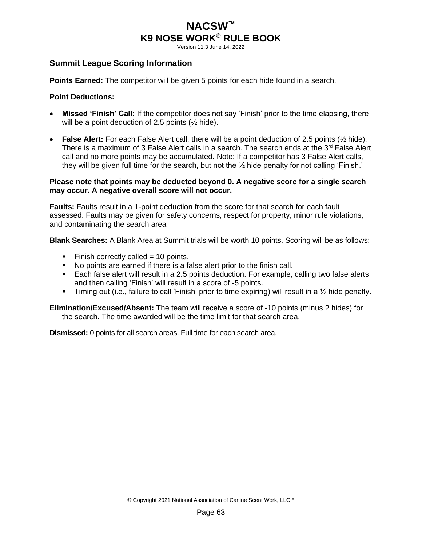Version 11.3 June 14, 2022

### <span id="page-66-0"></span>**Summit League Scoring Information**

**Points Earned:** The competitor will be given 5 points for each hide found in a search.

#### **Point Deductions:**

- **Missed 'Finish' Call:** If the competitor does not say 'Finish' prior to the time elapsing, there will be a point deduction of 2.5 points  $(\frac{1}{2})$  hide).
- **False Alert:** For each False Alert call, there will be a point deduction of 2.5 points (½ hide). There is a maximum of 3 False Alert calls in a search. The search ends at the  $3^{rd}$  False Alert call and no more points may be accumulated. Note: If a competitor has 3 False Alert calls, they will be given full time for the search, but not the  $\frac{1}{2}$  hide penalty for not calling 'Finish.'

#### **Please note that points may be deducted beyond 0. A negative score for a single search may occur. A negative overall score will not occur.**

**Faults:** Faults result in a 1-point deduction from the score for that search for each fault assessed. Faults may be given for safety concerns, respect for property, minor rule violations, and contaminating the search area

**Blank Searches:** A Blank Area at Summit trials will be worth 10 points. Scoring will be as follows:

- $\blacksquare$  Finish correctly called = 10 points.
- No points are earned if there is a false alert prior to the finish call.
- Each false alert will result in a 2.5 points deduction. For example, calling two false alerts and then calling 'Finish' will result in a score of -5 points.
- **•** Timing out (i.e., failure to call 'Finish' prior to time expiring) will result in a  $\frac{1}{2}$  hide penalty.

**Elimination/Excused/Absent:** The team will receive a score of -10 points (minus 2 hides) for the search. The time awarded will be the time limit for that search area.

**Dismissed:** 0 points for all search areas. Full time for each search area.